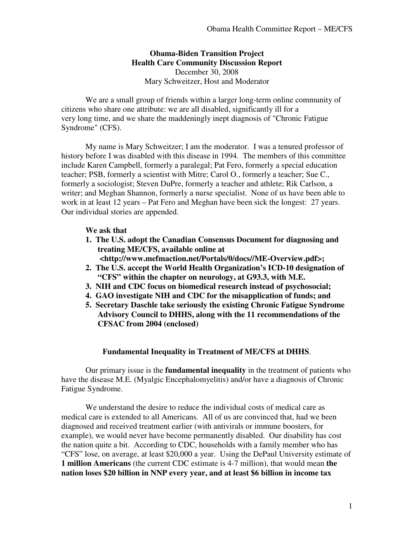### **Obama-Biden Transition Project Health Care Community Discussion Report**  December 30, 2008 Mary Schweitzer, Host and Moderator

We are a small group of friends within a larger long-term online community of citizens who share one attribute: we are all disabled, significantly ill for a very long time, and we share the maddeningly inept diagnosis of "Chronic Fatigue Syndrome" (CFS).

My name is Mary Schweitzer; I am the moderator. I was a tenured professor of history before I was disabled with this disease in 1994. The members of this committee include Karen Campbell, formerly a paralegal; Pat Fero, formerly a special education teacher; PSB, formerly a scientist with Mitre; Carol O., formerly a teacher; Sue C., formerly a sociologist; Steven DuPre, formerly a teacher and athlete; Rik Carlson, a writer; and Meghan Shannon, formerly a nurse specialist. None of us have been able to work in at least 12 years – Pat Fero and Meghan have been sick the longest: 27 years. Our individual stories are appended.

#### **We ask that**

- **1. The U.S. adopt the Canadian Consensus Document for diagnosing and treating ME/CFS, available online at <http://www.mefmaction.net/Portals/0/docs//ME-Overview.pdf>;**
- **2. The U.S. accept the World Health Organization's ICD-10 designation of "CFS" within the chapter on neurology, at G93.3, with M.E.**
- **3. NIH and CDC focus on biomedical research instead of psychosocial;**
- **4. GAO investigate NIH and CDC for the misapplication of funds; and**
- **5. Secretary Daschle take seriously the existing Chronic Fatigue Syndrome Advisory Council to DHHS, along with the 11 recommendations of the CFSAC from 2004 (enclosed)**

#### **Fundamental Inequality in Treatment of ME/CFS at DHHS**.

Our primary issue is the **fundamental inequality** in the treatment of patients who have the disease M.E. (Myalgic Encephalomyelitis) and/or have a diagnosis of Chronic Fatigue Syndrome.

We understand the desire to reduce the individual costs of medical care as medical care is extended to all Americans. All of us are convinced that, had we been diagnosed and received treatment earlier (with antivirals or immune boosters, for example), we would never have become permanently disabled. Our disability has cost the nation quite a bit. According to CDC, households with a family member who has "CFS" lose, on average, at least \$20,000 a year. Using the DePaul University estimate of **1 million Americans** (the current CDC estimate is 4-7 million), that would mean **the nation loses \$20 billion in NNP every year, and at least \$6 billion in income tax**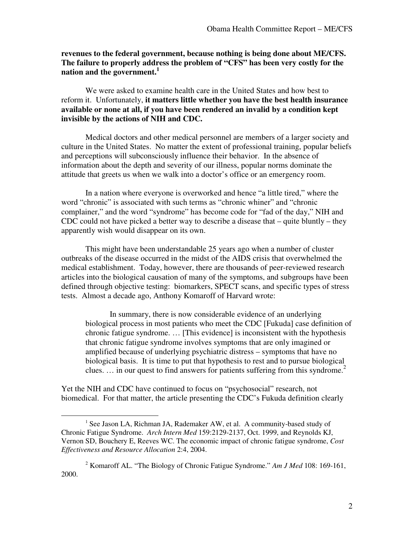**revenues to the federal government, because nothing is being done about ME/CFS. The failure to properly address the problem of "CFS" has been very costly for the nation and the government.<sup>1</sup>**

We were asked to examine health care in the United States and how best to reform it. Unfortunately, **it matters little whether you have the best health insurance available or none at all, if you have been rendered an invalid by a condition kept invisible by the actions of NIH and CDC.**

Medical doctors and other medical personnel are members of a larger society and culture in the United States. No matter the extent of professional training, popular beliefs and perceptions will subconsciously influence their behavior. In the absence of information about the depth and severity of our illness, popular norms dominate the attitude that greets us when we walk into a doctor's office or an emergency room.

In a nation where everyone is overworked and hence "a little tired," where the word "chronic" is associated with such terms as "chronic whiner" and "chronic complainer," and the word "syndrome" has become code for "fad of the day," NIH and CDC could not have picked a better way to describe a disease that – quite bluntly – they apparently wish would disappear on its own.

This might have been understandable 25 years ago when a number of cluster outbreaks of the disease occurred in the midst of the AIDS crisis that overwhelmed the medical establishment. Today, however, there are thousands of peer-reviewed research articles into the biological causation of many of the symptoms, and subgroups have been defined through objective testing: biomarkers, SPECT scans, and specific types of stress tests. Almost a decade ago, Anthony Komaroff of Harvard wrote:

In summary, there is now considerable evidence of an underlying biological process in most patients who meet the CDC [Fukuda] case definition of chronic fatigue syndrome. … [This evidence] is inconsistent with the hypothesis that chronic fatigue syndrome involves symptoms that are only imagined or amplified because of underlying psychiatric distress – symptoms that have no biological basis. It is time to put that hypothesis to rest and to pursue biological clues.  $\ldots$  in our quest to find answers for patients suffering from this syndrome.<sup>2</sup>

Yet the NIH and CDC have continued to focus on "psychosocial" research, not biomedical. For that matter, the article presenting the CDC's Fukuda definition clearly

<sup>&</sup>lt;sup>1</sup> See Jason LA, Richman JA, Rademaker AW, et al. A community-based study of Chronic Fatigue Syndrome. *Arch Intern Med* 159:2129-2137, Oct. 1999, and Reynolds KJ, Vernon SD, Bouchery E, Reeves WC. The economic impact of chronic fatigue syndrome, *Cost Effectiveness and Resource Allocation* 2:4, 2004.

<sup>2</sup> Komaroff AL. "The Biology of Chronic Fatigue Syndrome." *Am J Med* 108: 169-161, 2000.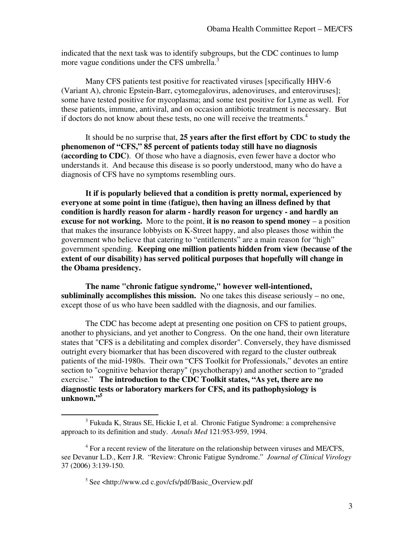indicated that the next task was to identify subgroups, but the CDC continues to lump more vague conditions under the CFS umbrella.<sup>3</sup>

Many CFS patients test positive for reactivated viruses [specifically HHV-6 (Variant A), chronic Epstein-Barr, cytomegalovirus, adenoviruses, and enteroviruses]; some have tested positive for mycoplasma; and some test positive for Lyme as well. For these patients, immune, antiviral, and on occasion antibiotic treatment is necessary. But if doctors do not know about these tests, no one will receive the treatments.<sup>4</sup>

It should be no surprise that, **25 years after the first effort by CDC to study the phenomenon of "CFS," 85 percent of patients today still have no diagnosis (according to CDC)**. Of those who have a diagnosis, even fewer have a doctor who understands it. And because this disease is so poorly understood, many who do have a diagnosis of CFS have no symptoms resembling ours.

**It if is popularly believed that a condition is pretty normal, experienced by everyone at some point in time (fatigue), then having an illness defined by that condition is hardly reason for alarm - hardly reason for urgency - and hardly an excuse for not working.** More to the point, **it is no reason to spend money** – a position that makes the insurance lobbyists on K-Street happy, and also pleases those within the government who believe that catering to "entitlements" are a main reason for "high" government spending. **Keeping one million patients hidden from view (because of the extent of our disability) has served political purposes that hopefully will change in the Obama presidency.**

**The name "chronic fatigue syndrome," however well-intentioned, subliminally accomplishes this mission.** No one takes this disease seriously – no one, except those of us who have been saddled with the diagnosis, and our families.

The CDC has become adept at presenting one position on CFS to patient groups, another to physicians, and yet another to Congress. On the one hand, their own literature states that "CFS is a debilitating and complex disorder". Conversely, they have dismissed outright every biomarker that has been discovered with regard to the cluster outbreak patients of the mid-1980s. Their own "CFS Toolkit for Professionals," devotes an entire section to "cognitive behavior therapy" (psychotherapy) and another section to "graded exercise." **The introduction to the CDC Toolkit states, "As yet, there are no diagnostic tests or laboratory markers for CFS, and its pathophysiology is unknown."<sup>5</sup>**

<sup>&</sup>lt;sup>3</sup> Fukuda K, Straus SE, Hickie I, et al. Chronic Fatigue Syndrome: a comprehensive approach to its definition and study. *Annals Med* 121:953-959, 1994.

<sup>&</sup>lt;sup>4</sup> For a recent review of the literature on the relationship between viruses and ME/CFS, see Devanur L.D., Kerr J.R. "Review: Chronic Fatigue Syndrome." *Journal of Clinical Virology* 37 (2006) 3:139-150.

<sup>5</sup> See <http://www.cd c.gov/cfs/pdf/Basic\_Overview.pdf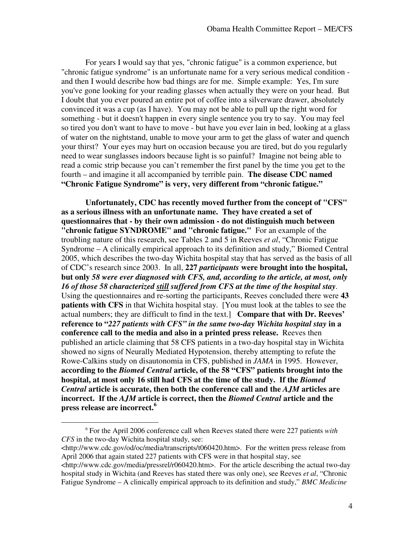For years I would say that yes, "chronic fatigue" is a common experience, but "chronic fatigue syndrome" is an unfortunate name for a very serious medical condition and then I would describe how bad things are for me. Simple example: Yes, I'm sure you've gone looking for your reading glasses when actually they were on your head. But I doubt that you ever poured an entire pot of coffee into a silverware drawer, absolutely convinced it was a cup (as I have). You may not be able to pull up the right word for something - but it doesn't happen in every single sentence you try to say. You may feel so tired you don't want to have to move - but have you ever lain in bed, looking at a glass of water on the nightstand, unable to move your arm to get the glass of water and quench your thirst? Your eyes may hurt on occasion because you are tired, but do you regularly need to wear sunglasses indoors because light is so painful? Imagine not being able to read a comic strip because you can't remember the first panel by the time you get to the fourth – and imagine it all accompanied by terrible pain. **The disease CDC named "Chronic Fatigue Syndrome" is very, very different from "chronic fatigue."**

**Unfortunately, CDC has recently moved further from the concept of "CFS" as a serious illness with an unfortunate name. They have created a set of questionnaires that - by their own admission - do not distinguish much between "chronic fatigue SYNDROME" and "chronic fatigue."** For an example of the troubling nature of this research, see Tables 2 and 5 in Reeves *et al*, "Chronic Fatigue Syndrome – A clinically empirical approach to its definition and study," Biomed Central 2005, which describes the two-day Wichita hospital stay that has served as the basis of all of CDC's research since 2003. In all, **227** *participants* **were brought into the hospital, but only** *58 were ever diagnosed with CFS, and, according to the article, at most, only 16 of those 58 characterized still suffered from CFS at the time of the hospital stay*. Using the questionnaires and re-sorting the participants, Reeves concluded there were **43 patients with CFS** in that Wichita hospital stay. [You must look at the tables to see the actual numbers; they are difficult to find in the text.] **Compare that with Dr. Reeves' reference to "***227 patients with CFS" in the same two-day Wichita hospital stay* **in a conference call to the media and also in a printed press release.** Reeves then published an article claiming that 58 CFS patients in a two-day hospital stay in Wichita showed no signs of Neurally Mediated Hypotension, thereby attempting to refute the Rowe-Calkins study on disautonomia in CFS, published in *JAMA* in 1995. However, **according to the** *Biomed Central* **article, of the 58 "CFS" patients brought into the hospital, at most only 16 still had CFS at the time of the study. If the** *Biomed Central* **article is accurate, then both the conference call and the** *AJM* **articles are incorrect. If the** *AJM* **article is correct, then the** *Biomed Central* **article and the press release are incorrect.<sup>6</sup>**

<sup>6</sup> For the April 2006 conference call when Reeves stated there were 227 patients *with CFS* in the two-day Wichita hospital study, see:

<sup>&</sup>lt;http://www.cdc.gov/od/oc/media/transcripts/t060420.htm>. For the written press release from April 2006 that again stated 227 patients with CFS were in that hospital stay, see <http://www.cdc.gov/media/pressrel/r060420.htm>. For the article describing the actual two-day hospital study in Wichita (and Reeves has stated there was only one), see Reeves *et al*, "Chronic Fatigue Syndrome – A clinically empirical approach to its definition and study," *BMC Medicine*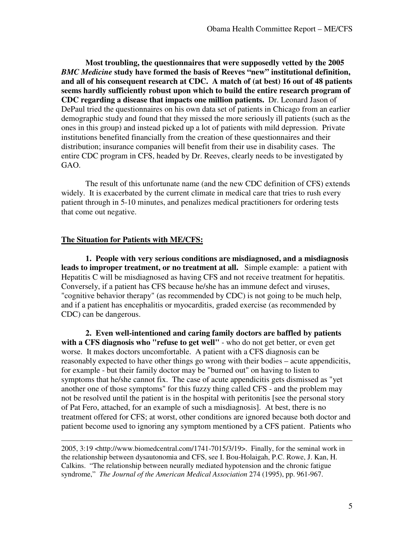**Most troubling, the questionnaires that were supposedly vetted by the 2005** *BMC Medicine* **study have formed the basis of Reeves "new" institutional definition, and all of his consequent research at CDC. A match of (at best) 16 out of 48 patients seems hardly sufficiently robust upon which to build the entire research program of CDC regarding a disease that impacts one million patients.** Dr. Leonard Jason of DePaul tried the questionnaires on his own data set of patients in Chicago from an earlier demographic study and found that they missed the more seriously ill patients (such as the ones in this group) and instead picked up a lot of patients with mild depression. Private institutions benefited financially from the creation of these questionnaires and their distribution; insurance companies will benefit from their use in disability cases. The entire CDC program in CFS, headed by Dr. Reeves, clearly needs to be investigated by GAO.

The result of this unfortunate name (and the new CDC definition of CFS) extends widely. It is exacerbated by the current climate in medical care that tries to rush every patient through in 5-10 minutes, and penalizes medical practitioners for ordering tests that come out negative.

#### **The Situation for Patients with ME/CFS:**

 $\overline{a}$ 

**1. People with very serious conditions are misdiagnosed, and a misdiagnosis leads to improper treatment, or no treatment at all.** Simple example: a patient with Hepatitis C will be misdiagnosed as having CFS and not receive treatment for hepatitis. Conversely, if a patient has CFS because he/she has an immune defect and viruses, "cognitive behavior therapy" (as recommended by CDC) is not going to be much help, and if a patient has encephalitis or myocarditis, graded exercise (as recommended by CDC) can be dangerous.

**2. Even well-intentioned and caring family doctors are baffled by patients with a CFS diagnosis who "refuse to get well"** - who do not get better, or even get worse. It makes doctors uncomfortable. A patient with a CFS diagnosis can be reasonably expected to have other things go wrong with their bodies – acute appendicitis, for example - but their family doctor may be "burned out" on having to listen to symptoms that he/she cannot fix. The case of acute appendicitis gets dismissed as "yet another one of those symptoms" for this fuzzy thing called CFS - and the problem may not be resolved until the patient is in the hospital with peritonitis [see the personal story of Pat Fero, attached, for an example of such a misdiagnosis]. At best, there is no treatment offered for CFS; at worst, other conditions are ignored because both doctor and patient become used to ignoring any symptom mentioned by a CFS patient. Patients who

2005, 3:19 <http://www.biomedcentral.com/1741-7015/3/19>. Finally, for the seminal work in the relationship between dysautonomia and CFS, see I. Bou-Holaigah, P.C. Rowe, J. Kan, H. Calkins. "The relationship between neurally mediated hypotension and the chronic fatigue syndrome," *The Journal of the American Medical Association* 274 (1995), pp. 961-967.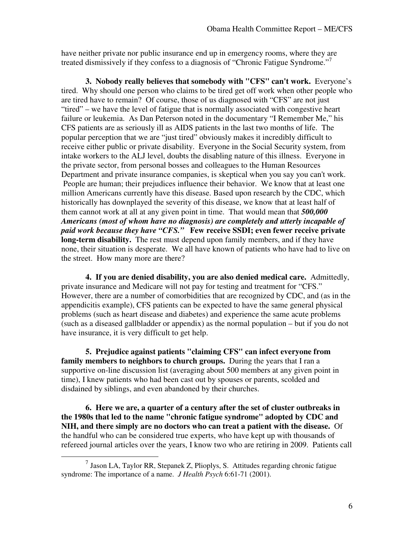have neither private nor public insurance end up in emergency rooms, where they are treated dismissively if they confess to a diagnosis of "Chronic Fatigue Syndrome."<sup>7</sup>

**3. Nobody really believes that somebody with "CFS" can't work.** Everyone's tired. Why should one person who claims to be tired get off work when other people who are tired have to remain? Of course, those of us diagnosed with "CFS" are not just "tired" – we have the level of fatigue that is normally associated with congestive heart failure or leukemia. As Dan Peterson noted in the documentary "I Remember Me," his CFS patients are as seriously ill as AIDS patients in the last two months of life. The popular perception that we are "just tired" obviously makes it incredibly difficult to receive either public or private disability. Everyone in the Social Security system, from intake workers to the ALJ level, doubts the disabling nature of this illness. Everyone in the private sector, from personal bosses and colleagues to the Human Resources Department and private insurance companies, is skeptical when you say you can't work. People are human; their prejudices influence their behavior. We know that at least one million Americans currently have this disease. Based upon research by the CDC, which historically has downplayed the severity of this disease, we know that at least half of them cannot work at all at any given point in time. That would mean that *500,000 Americans (most of whom have no diagnosis) are completely and utterly incapable of paid work because they have "CFS."* **Few receive SSDI; even fewer receive private long-term disability.** The rest must depend upon family members, and if they have none, their situation is desperate. We all have known of patients who have had to live on the street. How many more are there?

**4. If you are denied disability, you are also denied medical care.** Admittedly, private insurance and Medicare will not pay for testing and treatment for "CFS." However, there are a number of comorbidities that are recognized by CDC, and (as in the appendicitis example), CFS patients can be expected to have the same general physical problems (such as heart disease and diabetes) and experience the same acute problems (such as a diseased gallbladder or appendix) as the normal population – but if you do not have insurance, it is very difficult to get help.

**5. Prejudice against patients "claiming CFS" can infect everyone from family members to neighbors to church groups.** During the years that I ran a supportive on-line discussion list (averaging about 500 members at any given point in time), I knew patients who had been cast out by spouses or parents, scolded and disdained by siblings, and even abandoned by their churches.

**6. Here we are, a quarter of a century after the set of cluster outbreaks in the 1980s that led to the name "chronic fatigue syndrome" adopted by CDC and NIH, and there simply are no doctors who can treat a patient with the disease.** Of the handful who can be considered true experts, who have kept up with thousands of refereed journal articles over the years, I know two who are retiring in 2009. Patients call

 $^7$  Jason LA, Taylor RR, Stepanek Z, Plioplys, S. Attitudes regarding chronic fatigue syndrome: The importance of a name. *J Health Psych* 6:61-71 (2001).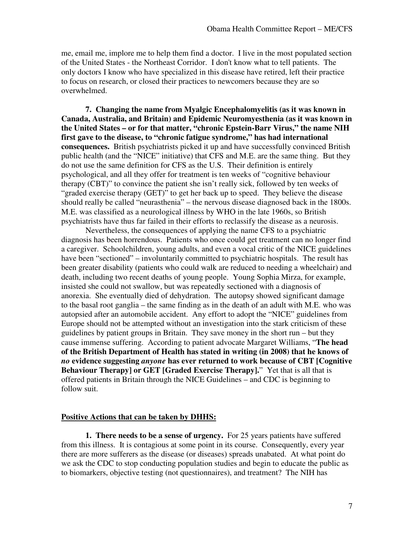me, email me, implore me to help them find a doctor. I live in the most populated section of the United States - the Northeast Corridor. I don't know what to tell patients. The only doctors I know who have specialized in this disease have retired, left their practice to focus on research, or closed their practices to newcomers because they are so overwhelmed.

**7. Changing the name from Myalgic Encephalomyelitis (as it was known in Canada, Australia, and Britain) and Epidemic Neuromyesthenia (as it was known in the United States – or for that matter, "chronic Epstein-Barr Virus," the name NIH first gave to the disease, to "chronic fatigue syndrome," has had international consequences.** British psychiatrists picked it up and have successfully convinced British public health (and the "NICE" initiative) that CFS and M.E. are the same thing. But they do not use the same definition for CFS as the U.S. Their definition is entirely psychological, and all they offer for treatment is ten weeks of "cognitive behaviour therapy (CBT)" to convince the patient she isn't really sick, followed by ten weeks of "graded exercise therapy (GET)" to get her back up to speed. They believe the disease should really be called "neurasthenia" – the nervous disease diagnosed back in the 1800s. M.E. was classified as a neurological illness by WHO in the late 1960s, so British psychiatrists have thus far failed in their efforts to reclassify the disease as a neurosis.

Nevertheless, the consequences of applying the name CFS to a psychiatric diagnosis has been horrendous. Patients who once could get treatment can no longer find a caregiver. Schoolchildren, young adults, and even a vocal critic of the NICE guidelines have been "sectioned" – involuntarily committed to psychiatric hospitals. The result has been greater disability (patients who could walk are reduced to needing a wheelchair) and death, including two recent deaths of young people. Young Sophia Mirza, for example, insisted she could not swallow, but was repeatedly sectioned with a diagnosis of anorexia. She eventually died of dehydration. The autopsy showed significant damage to the basal root ganglia – the same finding as in the death of an adult with M.E. who was autopsied after an automobile accident. Any effort to adopt the "NICE" guidelines from Europe should not be attempted without an investigation into the stark criticism of these guidelines by patient groups in Britain. They save money in the short run – but they cause immense suffering. According to patient advocate Margaret Williams, "**The head of the British Department of Health has stated in writing (in 2008) that he knows of**  *no* **evidence suggesting** *anyone* **has ever returned to work because of CBT [Cognitive Behaviour Therapy] or GET [Graded Exercise Therapy].**" Yet that is all that is offered patients in Britain through the NICE Guidelines – and CDC is beginning to follow suit.

#### **Positive Actions that can be taken by DHHS:**

**1. There needs to be a sense of urgency.** For 25 years patients have suffered from this illness. It is contagious at some point in its course. Consequently, every year there are more sufferers as the disease (or diseases) spreads unabated. At what point do we ask the CDC to stop conducting population studies and begin to educate the public as to biomarkers, objective testing (not questionnaires), and treatment? The NIH has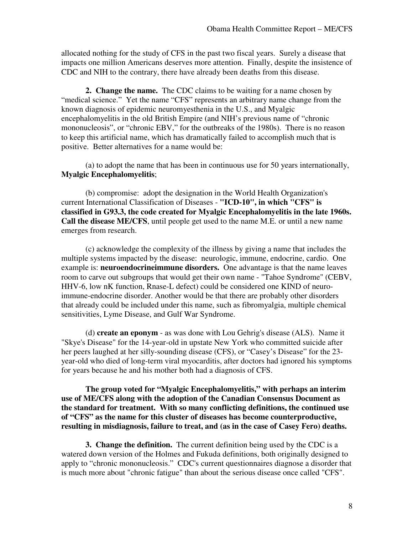allocated nothing for the study of CFS in the past two fiscal years. Surely a disease that impacts one million Americans deserves more attention. Finally, despite the insistence of CDC and NIH to the contrary, there have already been deaths from this disease.

**2. Change the name.** The CDC claims to be waiting for a name chosen by "medical science." Yet the name "CFS" represents an arbitrary name change from the known diagnosis of epidemic neuromyesthenia in the U.S., and Myalgic encephalomyelitis in the old British Empire (and NIH's previous name of "chronic mononucleosis", or "chronic EBV," for the outbreaks of the 1980s). There is no reason to keep this artificial name, which has dramatically failed to accomplish much that is positive. Better alternatives for a name would be:

(a) to adopt the name that has been in continuous use for 50 years internationally, **Myalgic Encephalomyelitis**;

(b) compromise: adopt the designation in the World Health Organization's current International Classification of Diseases - **"ICD-10", in which "CFS" is classified in G93.3, the code created for Myalgic Encephalomyelitis in the late 1960s. Call the disease ME/CFS**, until people get used to the name M.E. or until a new name emerges from research.

(c) acknowledge the complexity of the illness by giving a name that includes the multiple systems impacted by the disease: neurologic, immune, endocrine, cardio. One example is: **neuroendocrineimmune disorders.** One advantage is that the name leaves room to carve out subgroups that would get their own name - "Tahoe Syndrome" (CEBV, HHV-6, low nK function, Rnase-L defect) could be considered one KIND of neuroimmune-endocrine disorder. Another would be that there are probably other disorders that already could be included under this name, such as fibromyalgia, multiple chemical sensitivities, Lyme Disease, and Gulf War Syndrome.

(d) **create an eponym** - as was done with Lou Gehrig's disease (ALS). Name it "Skye's Disease" for the 14-year-old in upstate New York who committed suicide after her peers laughed at her silly-sounding disease (CFS), or "Casey's Disease" for the 23 year-old who died of long-term viral myocarditis, after doctors had ignored his symptoms for years because he and his mother both had a diagnosis of CFS.

**The group voted for "Myalgic Encephalomyelitis," with perhaps an interim use of ME/CFS along with the adoption of the Canadian Consensus Document as the standard for treatment. With so many conflicting definitions, the continued use of "CFS" as the name for this cluster of diseases has become counterproductive, resulting in misdiagnosis, failure to treat, and (as in the case of Casey Fero) deaths.** 

**3. Change the definition.** The current definition being used by the CDC is a watered down version of the Holmes and Fukuda definitions, both originally designed to apply to "chronic mononucleosis." CDC's current questionnaires diagnose a disorder that is much more about "chronic fatigue" than about the serious disease once called "CFS".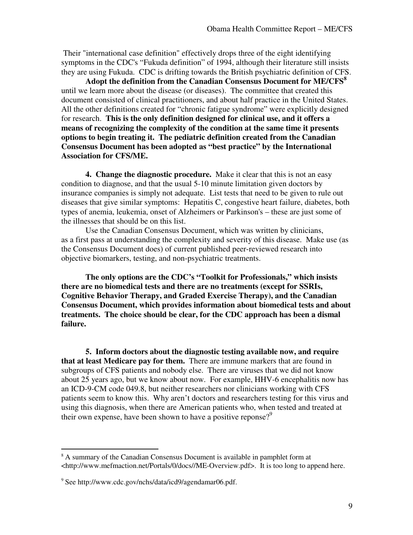Their "international case definition" effectively drops three of the eight identifying symptoms in the CDC's "Fukuda definition" of 1994, although their literature still insists they are using Fukuda. CDC is drifting towards the British psychiatric definition of CFS.

**Adopt the definition from the Canadian Consensus Document for ME/CFS<sup>8</sup>** until we learn more about the disease (or diseases). The committee that created this document consisted of clinical practitioners, and about half practice in the United States. All the other definitions created for "chronic fatigue syndrome" were explicitly designed for research. **This is the only definition designed for clinical use, and it offers a means of recognizing the complexity of the condition at the same time it presents options to begin treating it. The pediatric definition created from the Canadian Consensus Document has been adopted as "best practice" by the International Association for CFS/ME.** 

**4. Change the diagnostic procedure.** Make it clear that this is not an easy condition to diagnose, and that the usual 5-10 minute limitation given doctors by insurance companies is simply not adequate. List tests that need to be given to rule out diseases that give similar symptoms: Hepatitis C, congestive heart failure, diabetes, both types of anemia, leukemia, onset of Alzheimers or Parkinson's – these are just some of the illnesses that should be on this list.

Use the Canadian Consensus Document, which was written by clinicians, as a first pass at understanding the complexity and severity of this disease. Make use (as the Consensus Document does) of current published peer-reviewed research into objective biomarkers, testing, and non-psychiatric treatments.

**The only options are the CDC's "Toolkit for Professionals," which insists there are no biomedical tests and there are no treatments (except for SSRIs, Cognitive Behavior Therapy, and Graded Exercise Therapy), and the Canadian Consensus Document, which provides information about biomedical tests and about treatments. The choice should be clear, for the CDC approach has been a dismal failure.** 

**5. Inform doctors about the diagnostic testing available now, and require that at least Medicare pay for them.** There are immune markers that are found in subgroups of CFS patients and nobody else. There are viruses that we did not know about 25 years ago, but we know about now. For example, HHV-6 encephalitis now has an ICD-9-CM code 049.8, but neither researchers nor clinicians working with CFS patients seem to know this. Why aren't doctors and researchers testing for this virus and using this diagnosis, when there are American patients who, when tested and treated at their own expense, have been shown to have a positive reponse? $9^9$ 

<sup>&</sup>lt;sup>8</sup> A summary of the Canadian Consensus Document is available in pamphlet form at <http://www.mefmaction.net/Portals/0/docs//ME-Overview.pdf>. It is too long to append here.

<sup>9</sup> See http://www.cdc.gov/nchs/data/icd9/agendamar06.pdf.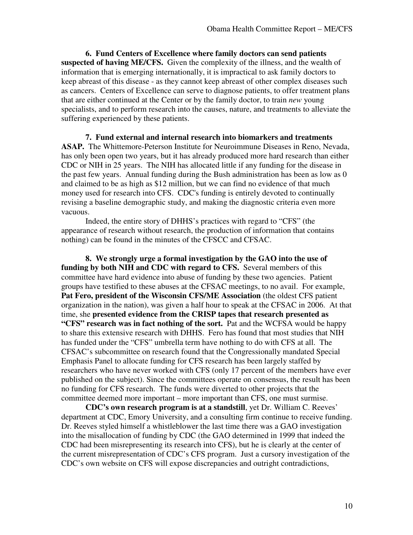**6. Fund Centers of Excellence where family doctors can send patients suspected of having ME/CFS.** Given the complexity of the illness, and the wealth of information that is emerging internationally, it is impractical to ask family doctors to keep abreast of this disease - as they cannot keep abreast of other complex diseases such as cancers. Centers of Excellence can serve to diagnose patients, to offer treatment plans that are either continued at the Center or by the family doctor, to train *new* young specialists, and to perform research into the causes, nature, and treatments to alleviate the suffering experienced by these patients.

**7. Fund external and internal research into biomarkers and treatments ASAP.** The Whittemore-Peterson Institute for Neuroimmune Diseases in Reno, Nevada, has only been open two years, but it has already produced more hard research than either CDC or NIH in 25 years. The NIH has allocated little if any funding for the disease in the past few years. Annual funding during the Bush administration has been as low as 0 and claimed to be as high as \$12 million, but we can find no evidence of that much money used for research into CFS. CDC's funding is entirely devoted to continually revising a baseline demographic study, and making the diagnostic criteria even more vacuous.

Indeed, the entire story of DHHS's practices with regard to "CFS" (the appearance of research without research, the production of information that contains nothing) can be found in the minutes of the CFSCC and CFSAC.

**8. We strongly urge a formal investigation by the GAO into the use of funding by both NIH and CDC with regard to CFS.** Several members of this committee have hard evidence into abuse of funding by these two agencies. Patient groups have testified to these abuses at the CFSAC meetings, to no avail. For example, **Pat Fero, president of the Wisconsin CFS/ME Association** (the oldest CFS patient organization in the nation), was given a half hour to speak at the CFSAC in 2006. At that time, she **presented evidence from the CRISP tapes that research presented as "CFS" research was in fact nothing of the sort.** Pat and the WCFSA would be happy to share this extensive research with DHHS. Fero has found that most studies that NIH has funded under the "CFS" umbrella term have nothing to do with CFS at all. The CFSAC's subcommittee on research found that the Congressionally mandated Special Emphasis Panel to allocate funding for CFS research has been largely staffed by researchers who have never worked with CFS (only 17 percent of the members have ever published on the subject). Since the committees operate on consensus, the result has been no funding for CFS research. The funds were diverted to other projects that the committee deemed more important – more important than CFS, one must surmise.

**CDC's own research program is at a standstill**, yet Dr. William C. Reeves' department at CDC, Emory University, and a consulting firm continue to receive funding. Dr. Reeves styled himself a whistleblower the last time there was a GAO investigation into the misallocation of funding by CDC (the GAO determined in 1999 that indeed the CDC had been misrepresenting its research into CFS), but he is clearly at the center of the current misrepresentation of CDC's CFS program. Just a cursory investigation of the CDC's own website on CFS will expose discrepancies and outright contradictions,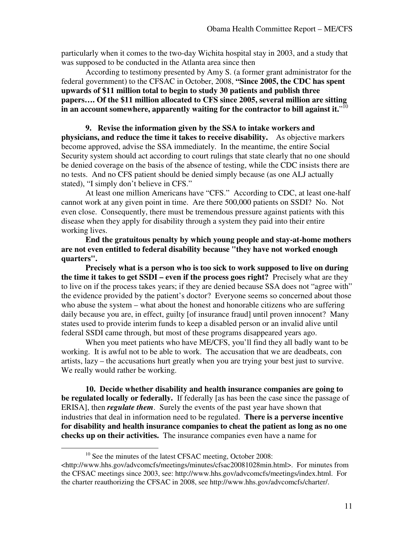particularly when it comes to the two-day Wichita hospital stay in 2003, and a study that was supposed to be conducted in the Atlanta area since then

According to testimony presented by Amy S. (a former grant administrator for the federal government) to the CFSAC in October, 2008, **"Since 2005, the CDC has spent upwards of \$11 million total to begin to study 30 patients and publish three papers…. Of the \$11 million allocated to CFS since 2005, several million are sitting**  in an account somewhere, apparently waiting for the contractor to bill against it."<sup>10</sup>

**9. Revise the information given by the SSA to intake workers and physicians, and reduce the time it takes to receive disability.** As objective markers become approved, advise the SSA immediately. In the meantime, the entire Social Security system should act according to court rulings that state clearly that no one should be denied coverage on the basis of the absence of testing, while the CDC insists there are no tests. And no CFS patient should be denied simply because (as one ALJ actually stated), "I simply don't believe in CFS."

At least one million Americans have "CFS." According to CDC, at least one-half cannot work at any given point in time. Are there 500,000 patients on SSDI? No. Not even close. Consequently, there must be tremendous pressure against patients with this disease when they apply for disability through a system they paid into their entire working lives.

**End the gratuitous penalty by which young people and stay-at-home mothers are not even entitled to federal disability because "they have not worked enough quarters".** 

**Precisely what is a person who is too sick to work supposed to live on during the time it takes to get SSDI – even if the process goes right?** Precisely what are they to live on if the process takes years; if they are denied because SSA does not "agree with" the evidence provided by the patient's doctor? Everyone seems so concerned about those who abuse the system – what about the honest and honorable citizens who are suffering daily because you are, in effect, guilty [of insurance fraud] until proven innocent? Many states used to provide interim funds to keep a disabled person or an invalid alive until federal SSDI came through, but most of these programs disappeared years ago.

When you meet patients who have ME/CFS, you'll find they all badly want to be working. It is awful not to be able to work. The accusation that we are deadbeats, con artists, lazy – the accusations hurt greatly when you are trying your best just to survive. We really would rather be working.

**10. Decide whether disability and health insurance companies are going to be regulated locally or federally.** If federally [as has been the case since the passage of ERISA], then *regulate them*. Surely the events of the past year have shown that industries that deal in information need to be regulated. **There is a perverse incentive for disability and health insurance companies to cheat the patient as long as no one checks up on their activities.** The insurance companies even have a name for

<sup>&</sup>lt;sup>10</sup> See the minutes of the latest CFSAC meeting, October 2008: <http://www.hhs.gov/advcomcfs/meetings/minutes/cfsac20081028min.html>. For minutes from the CFSAC meetings since 2003, see: http://www.hhs.gov/advcomcfs/meetings/index.html. For

the charter reauthorizing the CFSAC in 2008, see http://www.hhs.gov/advcomcfs/charter/.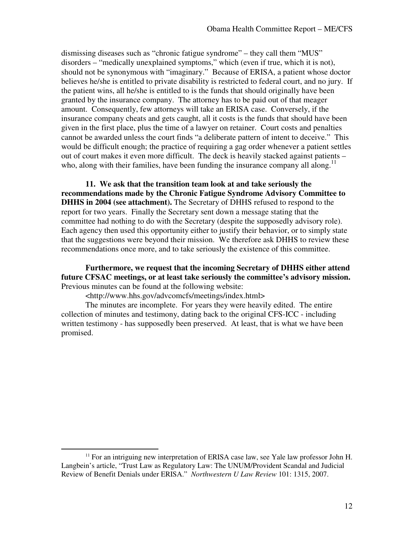dismissing diseases such as "chronic fatigue syndrome" – they call them "MUS" disorders – "medically unexplained symptoms," which (even if true, which it is not), should not be synonymous with "imaginary." Because of ERISA, a patient whose doctor believes he/she is entitled to private disability is restricted to federal court, and no jury. If the patient wins, all he/she is entitled to is the funds that should originally have been granted by the insurance company. The attorney has to be paid out of that meager amount. Consequently, few attorneys will take an ERISA case. Conversely, if the insurance company cheats and gets caught, all it costs is the funds that should have been given in the first place, plus the time of a lawyer on retainer. Court costs and penalties cannot be awarded unless the court finds "a deliberate pattern of intent to deceive." This would be difficult enough; the practice of requiring a gag order whenever a patient settles out of court makes it even more difficult. The deck is heavily stacked against patients – who, along with their families, have been funding the insurance company all along.<sup>11</sup>

**11. We ask that the transition team look at and take seriously the recommendations made by the Chronic Fatigue Syndrome Advisory Committee to DHHS in 2004 (see attachment).** The Secretary of DHHS refused to respond to the report for two years. Finally the Secretary sent down a message stating that the committee had nothing to do with the Secretary (despite the supposedly advisory role). Each agency then used this opportunity either to justify their behavior, or to simply state that the suggestions were beyond their mission. We therefore ask DHHS to review these recommendations once more, and to take seriously the existence of this committee.

**Furthermore, we request that the incoming Secretary of DHHS either attend future CFSAC meetings, or at least take seriously the committee's advisory mission.** Previous minutes can be found at the following website:

<http://www.hhs.gov/advcomcfs/meetings/index.html>

 $\overline{a}$ 

The minutes are incomplete. For years they were heavily edited. The entire collection of minutes and testimony, dating back to the original CFS-ICC - including written testimony - has supposedly been preserved. At least, that is what we have been promised.

 $11$  For an intriguing new interpretation of ERISA case law, see Yale law professor John H. Langbein's article, "Trust Law as Regulatory Law: The UNUM/Provident Scandal and Judicial Review of Benefit Denials under ERISA." *Northwestern U Law Review* 101: 1315, 2007.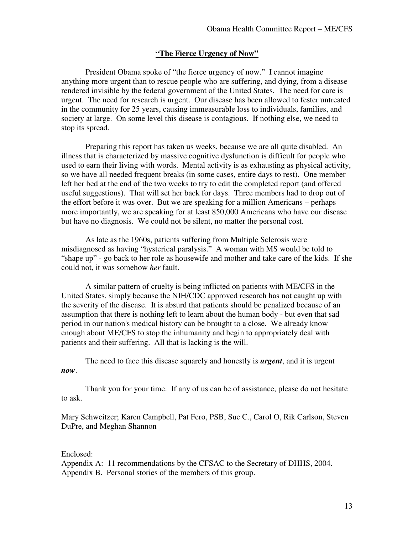### **"The Fierce Urgency of Now"**

President Obama spoke of "the fierce urgency of now." I cannot imagine anything more urgent than to rescue people who are suffering, and dying, from a disease rendered invisible by the federal government of the United States. The need for care is urgent. The need for research is urgent. Our disease has been allowed to fester untreated in the community for 25 years, causing immeasurable loss to individuals, families, and society at large. On some level this disease is contagious. If nothing else, we need to stop its spread.

Preparing this report has taken us weeks, because we are all quite disabled. An illness that is characterized by massive cognitive dysfunction is difficult for people who used to earn their living with words. Mental activity is as exhausting as physical activity, so we have all needed frequent breaks (in some cases, entire days to rest). One member left her bed at the end of the two weeks to try to edit the completed report (and offered useful suggestions). That will set her back for days. Three members had to drop out of the effort before it was over. But we are speaking for a million Americans – perhaps more importantly, we are speaking for at least 850,000 Americans who have our disease but have no diagnosis. We could not be silent, no matter the personal cost.

As late as the 1960s, patients suffering from Multiple Sclerosis were misdiagnosed as having "hysterical paralysis." A woman with MS would be told to "shape up" - go back to her role as housewife and mother and take care of the kids. If she could not, it was somehow *her* fault.

A similar pattern of cruelty is being inflicted on patients with ME/CFS in the United States, simply because the NIH/CDC approved research has not caught up with the severity of the disease. It is absurd that patients should be penalized because of an assumption that there is nothing left to learn about the human body - but even that sad period in our nation's medical history can be brought to a close. We already know enough about ME/CFS to stop the inhumanity and begin to appropriately deal with patients and their suffering. All that is lacking is the will.

The need to face this disease squarely and honestly is *urgent*, and it is urgent *now*.

Thank you for your time. If any of us can be of assistance, please do not hesitate to ask.

Mary Schweitzer; Karen Campbell, Pat Fero, PSB, Sue C., Carol O, Rik Carlson, Steven DuPre, and Meghan Shannon

#### Enclosed:

Appendix A: 11 recommendations by the CFSAC to the Secretary of DHHS, 2004. Appendix B. Personal stories of the members of this group.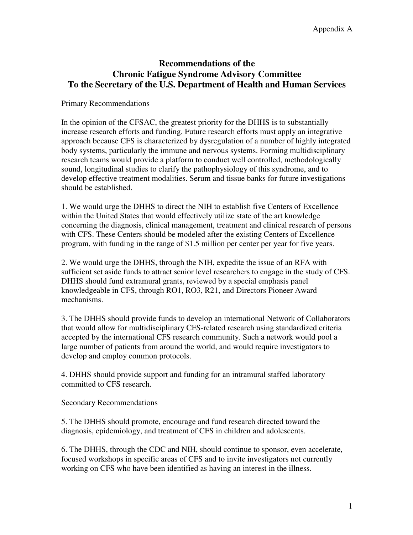# **Recommendations of the Chronic Fatigue Syndrome Advisory Committee To the Secretary of the U.S. Department of Health and Human Services**

Primary Recommendations

In the opinion of the CFSAC, the greatest priority for the DHHS is to substantially increase research efforts and funding. Future research efforts must apply an integrative approach because CFS is characterized by dysregulation of a number of highly integrated body systems, particularly the immune and nervous systems. Forming multidisciplinary research teams would provide a platform to conduct well controlled, methodologically sound, longitudinal studies to clarify the pathophysiology of this syndrome, and to develop effective treatment modalities. Serum and tissue banks for future investigations should be established.

1. We would urge the DHHS to direct the NIH to establish five Centers of Excellence within the United States that would effectively utilize state of the art knowledge concerning the diagnosis, clinical management, treatment and clinical research of persons with CFS. These Centers should be modeled after the existing Centers of Excellence program, with funding in the range of \$1.5 million per center per year for five years.

2. We would urge the DHHS, through the NIH, expedite the issue of an RFA with sufficient set aside funds to attract senior level researchers to engage in the study of CFS. DHHS should fund extramural grants, reviewed by a special emphasis panel knowledgeable in CFS, through RO1, RO3, R21, and Directors Pioneer Award mechanisms.

3. The DHHS should provide funds to develop an international Network of Collaborators that would allow for multidisciplinary CFS-related research using standardized criteria accepted by the international CFS research community. Such a network would pool a large number of patients from around the world, and would require investigators to develop and employ common protocols.

4. DHHS should provide support and funding for an intramural staffed laboratory committed to CFS research.

Secondary Recommendations

5. The DHHS should promote, encourage and fund research directed toward the diagnosis, epidemiology, and treatment of CFS in children and adolescents.

6. The DHHS, through the CDC and NIH, should continue to sponsor, even accelerate, focused workshops in specific areas of CFS and to invite investigators not currently working on CFS who have been identified as having an interest in the illness.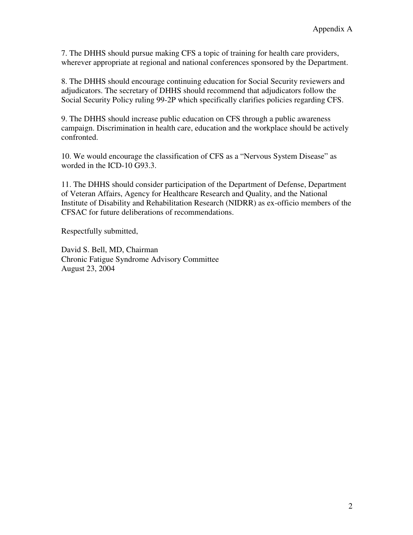7. The DHHS should pursue making CFS a topic of training for health care providers, wherever appropriate at regional and national conferences sponsored by the Department.

8. The DHHS should encourage continuing education for Social Security reviewers and adjudicators. The secretary of DHHS should recommend that adjudicators follow the Social Security Policy ruling 99-2P which specifically clarifies policies regarding CFS.

9. The DHHS should increase public education on CFS through a public awareness campaign. Discrimination in health care, education and the workplace should be actively confronted.

10. We would encourage the classification of CFS as a "Nervous System Disease" as worded in the ICD-10 G93.3.

11. The DHHS should consider participation of the Department of Defense, Department of Veteran Affairs, Agency for Healthcare Research and Quality, and the National Institute of Disability and Rehabilitation Research (NIDRR) as ex-officio members of the CFSAC for future deliberations of recommendations.

Respectfully submitted,

David S. Bell, MD, Chairman Chronic Fatigue Syndrome Advisory Committee August 23, 2004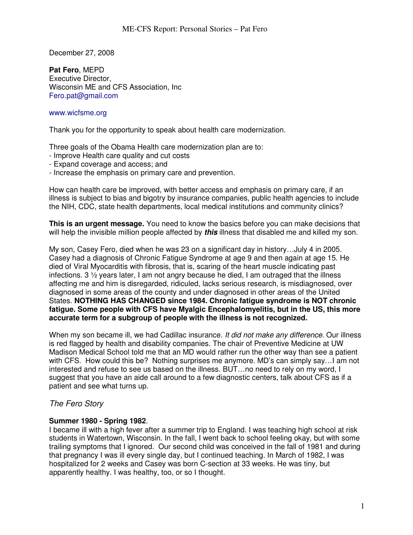December 27, 2008

**Pat Fero**, MEPD Executive Director, Wisconsin ME and CFS Association, Inc Fero.pat@gmail.com

#### www.wicfsme.org

Thank you for the opportunity to speak about health care modernization.

Three goals of the Obama Health care modernization plan are to:

- Improve Health care quality and cut costs
- Expand coverage and access; and
- Increase the emphasis on primary care and prevention.

How can health care be improved, with better access and emphasis on primary care, if an illness is subject to bias and bigotry by insurance companies, public health agencies to include the NIH, CDC, state health departments, local medical institutions and community clinics?

**This is an urgent message.** You need to know the basics before you can make decisions that will help the invisible million people affected by *this* illness that disabled me and killed my son.

My son, Casey Fero, died when he was 23 on a significant day in history…July 4 in 2005. Casey had a diagnosis of Chronic Fatigue Syndrome at age 9 and then again at age 15. He died of Viral Myocarditis with fibrosis, that is, scaring of the heart muscle indicating past infections. 3 ½ years later, I am not angry because he died, I am outraged that the illness affecting me and him is disregarded, ridiculed, lacks serious research, is misdiagnosed, over diagnosed in some areas of the county and under diagnosed in other areas of the United States. **NOTHING HAS CHANGED since 1984. Chronic fatigue syndrome is NOT chronic fatigue. Some people with CFS have Myalgic Encephalomyelitis, but in the US, this more accurate term for a subgroup of people with the illness is not recognized.**

When my son became ill, we had Cadillac insurance. *It did not make any difference*. Our illness is red flagged by health and disability companies. The chair of Preventive Medicine at UW Madison Medical School told me that an MD would rather run the other way than see a patient with CFS. How could this be? Nothing surprises me anymore. MD's can simply say…I am not interested and refuse to see us based on the illness. BUT…no need to rely on my word, I suggest that you have an aide call around to a few diagnostic centers, talk about CFS as if a patient and see what turns up.

## *The Fero Story*

### **Summer 1980 - Spring 1982**.

I became ill with a high fever after a summer trip to England. I was teaching high school at risk students in Watertown, Wisconsin. In the fall, I went back to school feeling okay, but with some trailing symptoms that I ignored. Our second child was conceived in the fall of 1981 and during that pregnancy I was ill every single day, but I continued teaching. In March of 1982, I was hospitalized for 2 weeks and Casey was born C-section at 33 weeks. He was tiny, but apparently healthy. I was healthy, too, or so I thought.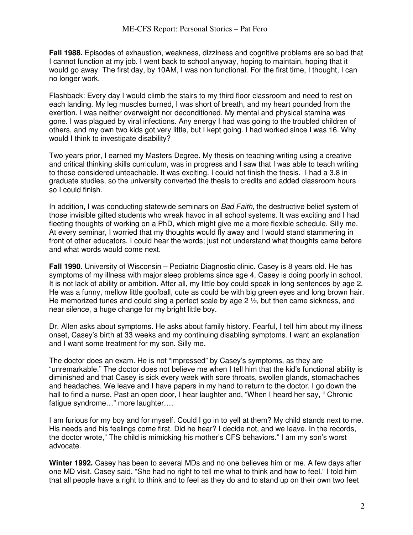**Fall 1988.** Episodes of exhaustion, weakness, dizziness and cognitive problems are so bad that I cannot function at my job. I went back to school anyway, hoping to maintain, hoping that it would go away. The first day, by 10AM, I was non functional. For the first time, I thought, I can no longer work.

Flashback: Every day I would climb the stairs to my third floor classroom and need to rest on each landing. My leg muscles burned, I was short of breath, and my heart pounded from the exertion. I was neither overweight nor deconditioned. My mental and physical stamina was gone. I was plagued by viral infections. Any energy I had was going to the troubled children of others, and my own two kids got very little, but I kept going. I had worked since I was 16. Why would I think to investigate disability?

Two years prior, I earned my Masters Degree. My thesis on teaching writing using a creative and critical thinking skills curriculum, was in progress and I saw that I was able to teach writing to those considered unteachable. It was exciting. I could not finish the thesis. I had a 3.8 in graduate studies, so the university converted the thesis to credits and added classroom hours so I could finish.

In addition, I was conducting statewide seminars on *Bad Faith*, the destructive belief system of those invisible gifted students who wreak havoc in all school systems. It was exciting and I had fleeting thoughts of working on a PhD, which might give me a more flexible schedule. Silly me. At every seminar, I worried that my thoughts would fly away and I would stand stammering in front of other educators. I could hear the words; just not understand what thoughts came before and what words would come next.

**Fall 1990.** University of Wisconsin – Pediatric Diagnostic clinic. Casey is 8 years old. He has symptoms of my illness with major sleep problems since age 4. Casey is doing poorly in school. It is not lack of ability or ambition. After all, my little boy could speak in long sentences by age 2. He was a funny, mellow little goofball, cute as could be with big green eyes and long brown hair. He memorized tunes and could sing a perfect scale by age 2 ½, but then came sickness, and near silence, a huge change for my bright little boy.

Dr. Allen asks about symptoms. He asks about family history. Fearful, I tell him about my illness onset, Casey's birth at 33 weeks and my continuing disabling symptoms. I want an explanation and I want some treatment for my son. Silly me.

The doctor does an exam. He is not "impressed" by Casey's symptoms, as they are "unremarkable." The doctor does not believe me when I tell him that the kid's functional ability is diminished and that Casey is sick every week with sore throats, swollen glands, stomachaches and headaches. We leave and I have papers in my hand to return to the doctor. I go down the hall to find a nurse. Past an open door, I hear laughter and, "When I heard her say, " Chronic fatigue syndrome…" more laughter….

I am furious for my boy and for myself. Could I go in to yell at them? My child stands next to me. His needs and his feelings come first. Did he hear? I decide not, and we leave. In the records, the doctor wrote," The child is mimicking his mother's CFS behaviors." I am my son's worst advocate.

**Winter 1992.** Casey has been to several MDs and no one believes him or me. A few days after one MD visit, Casey said, "She had no right to tell me what to think and how to feel." I told him that all people have a right to think and to feel as they do and to stand up on their own two feet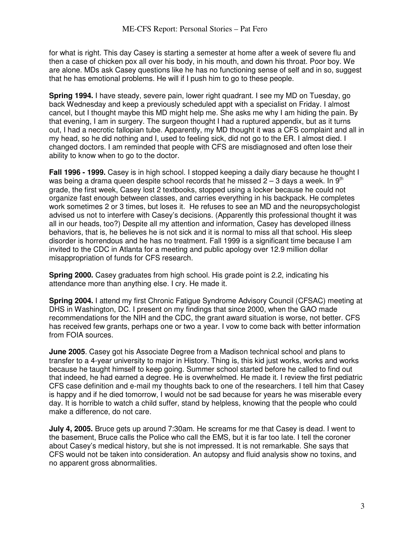for what is right. This day Casey is starting a semester at home after a week of severe flu and then a case of chicken pox all over his body, in his mouth, and down his throat. Poor boy. We are alone. MDs ask Casey questions like he has no functioning sense of self and in so, suggest that he has emotional problems. He will if I push him to go to these people.

**Spring 1994.** I have steady, severe pain, lower right quadrant. I see my MD on Tuesday, go back Wednesday and keep a previously scheduled appt with a specialist on Friday. I almost cancel, but I thought maybe this MD might help me. She asks me why I am hiding the pain. By that evening, I am in surgery. The surgeon thought I had a ruptured appendix, but as it turns out, I had a necrotic fallopian tube. Apparently, my MD thought it was a CFS complaint and all in my head, so he did nothing and I, used to feeling sick, did not go to the ER. I almost died. I changed doctors. I am reminded that people with CFS are misdiagnosed and often lose their ability to know when to go to the doctor.

**Fall 1996 - 1999.** Casey is in high school. I stopped keeping a daily diary because he thought I was being a drama queen despite school records that he missed  $2 - 3$  days a week. In 9<sup>th</sup> grade, the first week, Casey lost 2 textbooks, stopped using a locker because he could not organize fast enough between classes, and carries everything in his backpack. He completes work sometimes 2 or 3 times, but loses it. He refuses to see an MD and the neuropsychologist advised us not to interfere with Casey's decisions. (Apparently this professional thought it was all in our heads, too?) Despite all my attention and information, Casey has developed illness behaviors, that is, he believes he is not sick and it is normal to miss all that school. His sleep disorder is horrendous and he has no treatment. Fall 1999 is a significant time because I am invited to the CDC in Atlanta for a meeting and public apology over 12.9 million dollar misappropriation of funds for CFS research.

**Spring 2000.** Casey graduates from high school. His grade point is 2.2, indicating his attendance more than anything else. I cry. He made it.

**Spring 2004.** I attend my first Chronic Fatigue Syndrome Advisory Council (CFSAC) meeting at DHS in Washington, DC. I present on my findings that since 2000, when the GAO made recommendations for the NIH and the CDC, the grant award situation is worse, not better. CFS has received few grants, perhaps one or two a year. I vow to come back with better information from FOIA sources.

**June 2005**. Casey got his Associate Degree from a Madison technical school and plans to transfer to a 4-year university to major in History. Thing is, this kid just works, works and works because he taught himself to keep going. Summer school started before he called to find out that indeed, he had earned a degree. He is overwhelmed. He made it. I review the first pediatric CFS case definition and e-mail my thoughts back to one of the researchers. I tell him that Casey is happy and if he died tomorrow, I would not be sad because for years he was miserable every day. It is horrible to watch a child suffer, stand by helpless, knowing that the people who could make a difference, do not care.

**July 4, 2005.** Bruce gets up around 7:30am. He screams for me that Casey is dead. I went to the basement, Bruce calls the Police who call the EMS, but it is far too late. I tell the coroner about Casey's medical history, but she is not impressed. It is not remarkable. She says that CFS would not be taken into consideration. An autopsy and fluid analysis show no toxins, and no apparent gross abnormalities.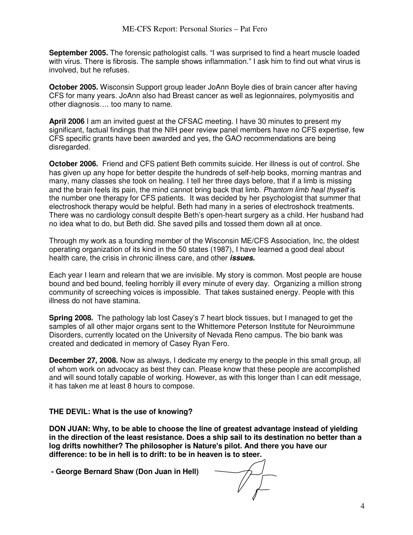**September 2005.** The forensic pathologist calls. "I was surprised to find a heart muscle loaded with virus. There is fibrosis. The sample shows inflammation." I ask him to find out what virus is involved, but he refuses.

**October 2005.** Wisconsin Support group leader JoAnn Boyle dies of brain cancer after having CFS for many years. JoAnn also had Breast cancer as well as legionnaires, polymyositis and other diagnosis…. too many to name.

**April 2006** I am an invited guest at the CFSAC meeting. I have 30 minutes to present my significant, factual findings that the NIH peer review panel members have no CFS expertise, few CFS specific grants have been awarded and yes, the GAO recommendations are being disregarded.

**October 2006.** Friend and CFS patient Beth commits suicide. Her illness is out of control. She has given up any hope for better despite the hundreds of self-help books, morning mantras and many, many classes she took on healing. I tell her three days before, that if a limb is missing and the brain feels its pain, the mind cannot bring back that limb. *Phantom limb heal thyself* is the number one therapy for CFS patients. It was decided by her psychologist that summer that electroshock therapy would be helpful. Beth had many in a series of electroshock treatments. There was no cardiology consult despite Beth's open-heart surgery as a child. Her husband had no idea what to do, but Beth did. She saved pills and tossed them down all at once.

Through my work as a founding member of the Wisconsin ME/CFS Association, Inc, the oldest operating organization of its kind in the 50 states (1987), I have learned a good deal about health care, the crisis in chronic illness care, and other *issues.*

Each year I learn and relearn that we are invisible. My story is common. Most people are house bound and bed bound, feeling horribly ill every minute of every day. Organizing a million strong community of screeching voices is impossible. That takes sustained energy. People with this illness do not have stamina.

**Spring 2008.** The pathology lab lost Casey's 7 heart block tissues, but I managed to get the samples of all other major organs sent to the Whittemore Peterson Institute for Neuroimmune Disorders, currently located on the University of Nevada Reno campus. The bio bank was created and dedicated in memory of Casey Ryan Fero.

**December 27, 2008.** Now as always, I dedicate my energy to the people in this small group, all of whom work on advocacy as best they can. Please know that these people are accomplished and will sound totally capable of working. However, as with this longer than I can edit message, it has taken me at least 8 hours to compose.

### **THE DEVIL: What is the use of knowing?**

**DON JUAN: Why, to be able to choose the line of greatest advantage instead of yielding in the direction of the least resistance. Does a ship sail to its destination no better than a log drifts nowhither? The philosopher is Nature's pilot. And there you have our difference: to be in hell is to drift: to be in heaven is to steer.** 

 **- George Bernard Shaw (Don Juan in Hell)**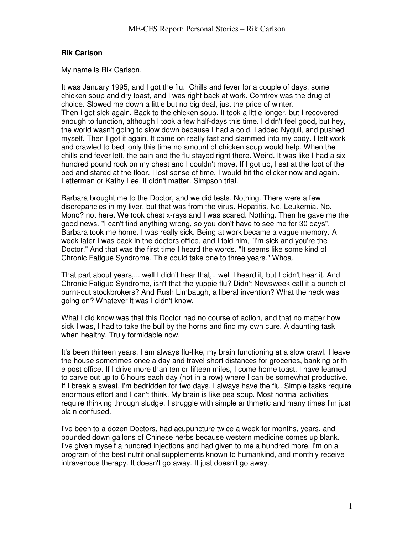### **Rik Carlson**

My name is Rik Carlson.

It was January 1995, and I got the flu. Chills and fever for a couple of days, some chicken soup and dry toast, and I was right back at work. Comtrex was the drug of choice. Slowed me down a little but no big deal, just the price of winter. Then I got sick again. Back to the chicken soup. It took a little longer, but I recovered enough to function, although I took a few half-days this time. I didn't feel good, but hey, the world wasn't going to slow down because I had a cold. I added Nyquil, and pushed myself. Then I got it again. It came on really fast and slammed into my body. I left work and crawled to bed, only this time no amount of chicken soup would help. When the chills and fever left, the pain and the flu stayed right there. Weird. It was like I had a six hundred pound rock on my chest and I couldn't move. If I got up, I sat at the foot of the bed and stared at the floor. I lost sense of time. I would hit the clicker now and again. Letterman or Kathy Lee, it didn't matter. Simpson trial.

Barbara brought me to the Doctor, and we did tests. Nothing. There were a few discrepancies in my liver, but that was from the virus. Hepatitis. No. Leukemia. No. Mono? not here. We took chest x-rays and I was scared. Nothing. Then he gave me the good news. "I can't find anything wrong, so you don't have to see me for 30 days". Barbara took me home. I was really sick. Being at work became a vague memory. A week later I was back in the doctors office, and I told him, "I'm sick and you're the Doctor." And that was the first time I heard the words. "It seems like some kind of Chronic Fatigue Syndrome. This could take one to three years." Whoa.

That part about years,... well I didn't hear that,.. well I heard it, but I didn't hear it. And Chronic Fatigue Syndrome, isn't that the yuppie flu? Didn't Newsweek call it a bunch of burnt-out stockbrokers? And Rush Limbaugh, a liberal invention? What the heck was going on? Whatever it was I didn't know.

What I did know was that this Doctor had no course of action, and that no matter how sick I was, I had to take the bull by the horns and find my own cure. A daunting task when healthy. Truly formidable now.

It's been thirteen years. I am always flu-like, my brain functioning at a slow crawl. I leave the house sometimes once a day and travel short distances for groceries, banking or th e post office. If I drive more than ten or fifteen miles, I come home toast. I have learned to carve out up to 6 hours each day (not in a row) where I can be somewhat productive. If I break a sweat, I'm bedridden for two days. I always have the flu. Simple tasks require enormous effort and I can't think. My brain is like pea soup. Most normal activities require thinking through sludge. I struggle with simple arithmetic and many times I'm just plain confused.

I've been to a dozen Doctors, had acupuncture twice a week for months, years, and pounded down gallons of Chinese herbs because western medicine comes up blank. I've given myself a hundred injections and had given to me a hundred more. I'm on a program of the best nutritional supplements known to humankind, and monthly receive intravenous therapy. It doesn't go away. It just doesn't go away.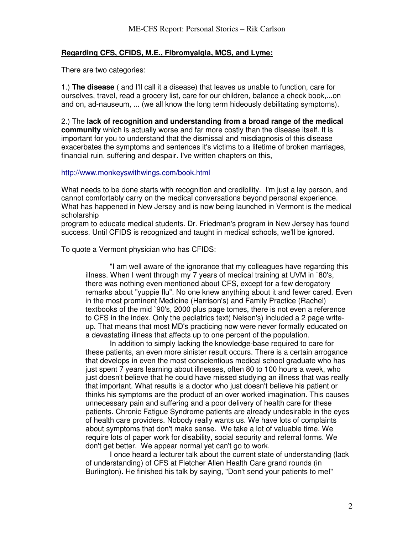### **Regarding CFS, CFIDS, M.E., Fibromyalgia, MCS, and Lyme:**

There are two categories:

1.) **The disease** ( and I'll call it a disease) that leaves us unable to function, care for ourselves, travel, read a grocery list, care for our children, balance a check book,...on and on, ad-nauseum, ... (we all know the long term hideously debilitating symptoms).

2.) The **lack of recognition and understanding from a broad range of the medical community** which is actually worse and far more costly than the disease itself. It is important for you to understand that the dismissal and misdiagnosis of this disease exacerbates the symptoms and sentences it's victims to a lifetime of broken marriages, financial ruin, suffering and despair. I've written chapters on this,

#### http://www.monkeyswithwings.com/book.html

What needs to be done starts with recognition and credibility. I'm just a lay person, and cannot comfortably carry on the medical conversations beyond personal experience. What has happened in New Jersey and is now being launched in Vermont is the medical scholarship

program to educate medical students. Dr. Friedman's program in New Jersey has found success. Until CFIDS is recognized and taught in medical schools, we'll be ignored.

To quote a Vermont physician who has CFIDS:

"I am well aware of the ignorance that my colleagues have regarding this illness. When I went through my 7 years of medical training at UVM in `80's, there was nothing even mentioned about CFS, except for a few derogatory remarks about "yuppie flu". No one knew anything about it and fewer cared. Even in the most prominent Medicine (Harrison's) and Family Practice (Rachel) textbooks of the mid `90's, 2000 plus page tomes, there is not even a reference to CFS in the index. Only the pediatrics text( Nelson's) included a 2 page writeup. That means that most MD's practicing now were never formally educated on a devastating illness that affects up to one percent of the population.

In addition to simply lacking the knowledge-base required to care for these patients, an even more sinister result occurs. There is a certain arrogance that develops in even the most conscientious medical school graduate who has just spent 7 years learning about illnesses, often 80 to 100 hours a week, who just doesn't believe that he could have missed studying an illness that was really that important. What results is a doctor who just doesn't believe his patient or thinks his symptoms are the product of an over worked imagination. This causes unnecessary pain and suffering and a poor delivery of health care for these patients. Chronic Fatigue Syndrome patients are already undesirable in the eyes of health care providers. Nobody really wants us. We have lots of complaints about symptoms that don't make sense. We take a lot of valuable time. We require lots of paper work for disability, social security and referral forms. We don't get better. We appear normal yet can't go to work.

I once heard a lecturer talk about the current state of understanding (lack of understanding) of CFS at Fletcher Allen Health Care grand rounds (in Burlington). He finished his talk by saying, "Don't send your patients to me!"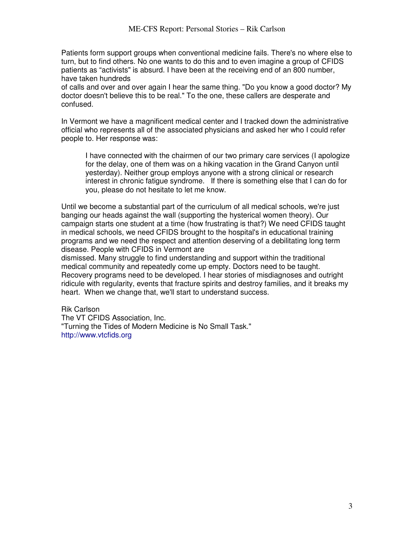Patients form support groups when conventional medicine fails. There's no where else to turn, but to find others. No one wants to do this and to even imagine a group of CFIDS patients as "activists" is absurd. I have been at the receiving end of an 800 number, have taken hundreds

of calls and over and over again I hear the same thing. "Do you know a good doctor? My doctor doesn't believe this to be real." To the one, these callers are desperate and confused.

In Vermont we have a magnificent medical center and I tracked down the administrative official who represents all of the associated physicians and asked her who I could refer people to. Her response was:

I have connected with the chairmen of our two primary care services (I apologize for the delay, one of them was on a hiking vacation in the Grand Canyon until yesterday). Neither group employs anyone with a strong clinical or research interest in chronic fatigue syndrome. If there is something else that I can do for you, please do not hesitate to let me know.

Until we become a substantial part of the curriculum of all medical schools, we're just banging our heads against the wall (supporting the hysterical women theory). Our campaign starts one student at a time (how frustrating is that?) We need CFIDS taught in medical schools, we need CFIDS brought to the hospital's in educational training programs and we need the respect and attention deserving of a debilitating long term disease. People with CFIDS in Vermont are

dismissed. Many struggle to find understanding and support within the traditional medical community and repeatedly come up empty. Doctors need to be taught. Recovery programs need to be developed. I hear stories of misdiagnoses and outright ridicule with regularity, events that fracture spirits and destroy families, and it breaks my heart. When we change that, we'll start to understand success.

Rik Carlson

The VT CFIDS Association, Inc. "Turning the Tides of Modern Medicine is No Small Task." http://www.vtcfids.org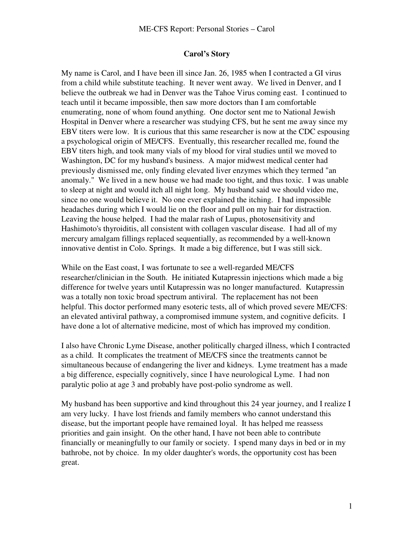### **Carol's Story**

My name is Carol, and I have been ill since Jan. 26, 1985 when I contracted a GI virus from a child while substitute teaching. It never went away. We lived in Denver, and I believe the outbreak we had in Denver was the Tahoe Virus coming east. I continued to teach until it became impossible, then saw more doctors than I am comfortable enumerating, none of whom found anything. One doctor sent me to National Jewish Hospital in Denver where a researcher was studying CFS, but he sent me away since my EBV titers were low. It is curious that this same researcher is now at the CDC espousing a psychological origin of ME/CFS. Eventually, this researcher recalled me, found the EBV titers high, and took many vials of my blood for viral studies until we moved to Washington, DC for my husband's business. A major midwest medical center had previously dismissed me, only finding elevated liver enzymes which they termed "an anomaly." We lived in a new house we had made too tight, and thus toxic. I was unable to sleep at night and would itch all night long. My husband said we should video me, since no one would believe it. No one ever explained the itching. I had impossible headaches during which I would lie on the floor and pull on my hair for distraction. Leaving the house helped. I had the malar rash of Lupus, photosensitivity and Hashimoto's thyroiditis, all consistent with collagen vascular disease. I had all of my mercury amalgam fillings replaced sequentially, as recommended by a well-known innovative dentist in Colo. Springs. It made a big difference, but I was still sick.

While on the East coast, I was fortunate to see a well-regarded ME/CFS researcher/clinician in the South. He initiated Kutapressin injections which made a big difference for twelve years until Kutapressin was no longer manufactured. Kutapressin was a totally non toxic broad spectrum antiviral. The replacement has not been helpful. This doctor performed many esoteric tests, all of which proved severe ME/CFS: an elevated antiviral pathway, a compromised immune system, and cognitive deficits. I have done a lot of alternative medicine, most of which has improved my condition.

I also have Chronic Lyme Disease, another politically charged illness, which I contracted as a child. It complicates the treatment of ME/CFS since the treatments cannot be simultaneous because of endangering the liver and kidneys. Lyme treatment has a made a big difference, especially cognitively, since I have neurological Lyme. I had non paralytic polio at age 3 and probably have post-polio syndrome as well.

My husband has been supportive and kind throughout this 24 year journey, and I realize I am very lucky. I have lost friends and family members who cannot understand this disease, but the important people have remained loyal. It has helped me reassess priorities and gain insight. On the other hand, I have not been able to contribute financially or meaningfully to our family or society. I spend many days in bed or in my bathrobe, not by choice. In my older daughter's words, the opportunity cost has been great.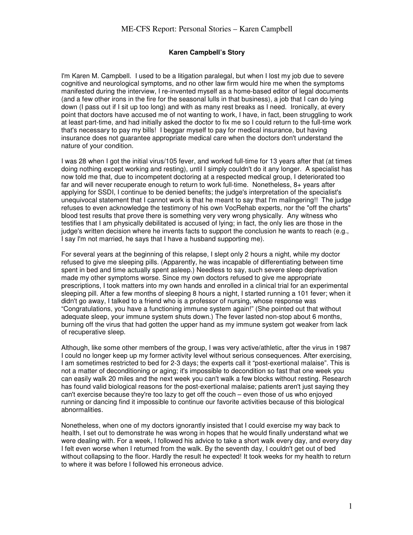#### **Karen Campbell's Story**

I'm Karen M. Campbell. I used to be a litigation paralegal, but when I lost my job due to severe cognitive and neurological symptoms, and no other law firm would hire me when the symptoms manifested during the interview, I re-invented myself as a home-based editor of legal documents (and a few other irons in the fire for the seasonal lulls in that business), a job that I can do lying down (I pass out if I sit up too long) and with as many rest breaks as I need. Ironically, at every point that doctors have accused me of not wanting to work, I have, in fact, been struggling to work at least part-time, and had initially asked the doctor to fix me so I could return to the full-time work that's necessary to pay my bills! I beggar myself to pay for medical insurance, but having insurance does not guarantee appropriate medical care when the doctors don't understand the nature of your condition.

I was 28 when I got the initial virus/105 fever, and worked full-time for 13 years after that (at times doing nothing except working and resting), until I simply couldn't do it any longer. A specialist has now told me that, due to incompetent doctoring at a respected medical group, I deteriorated too far and will never recuperate enough to return to work full-time. Nonetheless, 8+ years after applying for SSDI, I continue to be denied benefits; the judge's interpretation of the specialist's unequivocal statement that I cannot work is that he meant to say that I'm malingering!! The judge refuses to even acknowledge the testimony of his own VocRehab experts, nor the "off the charts" blood test results that prove there is something very very wrong physically. Any witness who testifies that I am physically debilitated is accused of lying; in fact, the only lies are those in the judge's written decision where he invents facts to support the conclusion he wants to reach (e.g., I say I'm not married, he says that I have a husband supporting me).

For several years at the beginning of this relapse, I slept only 2 hours a night, while my doctor refused to give me sleeping pills. (Apparently, he was incapable of differentiating between time spent in bed and time actually spent asleep.) Needless to say, such severe sleep deprivation made my other symptoms worse. Since my own doctors refused to give me appropriate prescriptions, I took matters into my own hands and enrolled in a clinical trial for an experimental sleeping pill. After a few months of sleeping 8 hours a night, I started running a 101 fever; when it didn't go away, I talked to a friend who is a professor of nursing, whose response was "Congratulations, you have a functioning immune system again!" (She pointed out that without adequate sleep, your immune system shuts down.) The fever lasted non-stop about 6 months, burning off the virus that had gotten the upper hand as my immune system got weaker from lack of recuperative sleep.

Although, like some other members of the group, I was very active/athletic, after the virus in 1987 I could no longer keep up my former activity level without serious consequences. After exercising, I am sometimes restricted to bed for 2-3 days; the experts call it "post-exertional malaise". This is not a matter of deconditioning or aging; it's impossible to decondition so fast that one week you can easily walk 20 miles and the next week you can't walk a few blocks without resting. Research has found valid biological reasons for the post-exertional malaise; patients aren't just saying they can't exercise because they're too lazy to get off the couch – even those of us who enjoyed running or dancing find it impossible to continue our favorite activities because of this biological abnormalities.

Nonetheless, when one of my doctors ignorantly insisted that I could exercise my way back to health, I set out to demonstrate he was wrong in hopes that he would finally understand what we were dealing with. For a week, I followed his advice to take a short walk every day, and every day I felt even worse when I returned from the walk. By the seventh day, I couldn't get out of bed without collapsing to the floor. Hardly the result he expected! It took weeks for my health to return to where it was before I followed his erroneous advice.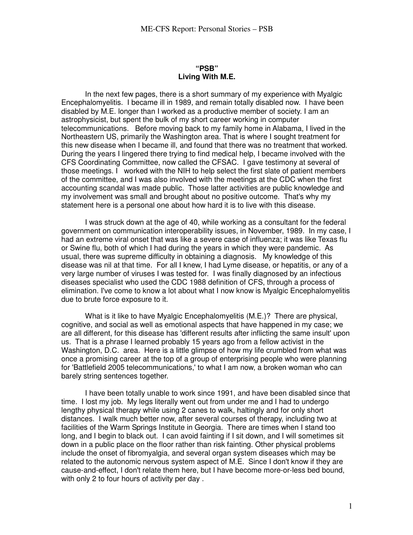### **"PSB" Living With M.E.**

In the next few pages, there is a short summary of my experience with Myalgic Encephalomyelitis. I became ill in 1989, and remain totally disabled now. I have been disabled by M.E. longer than I worked as a productive member of society. I am an astrophysicist, but spent the bulk of my short career working in computer telecommunications. Before moving back to my family home in Alabama, I lived in the Northeastern US, primarily the Washington area. That is where I sought treatment for this new disease when I became ill, and found that there was no treatment that worked. During the years I lingered there trying to find medical help, I became involved with the CFS Coordinating Committee, now called the CFSAC. I gave testimony at several of those meetings. I worked with the NIH to help select the first slate of patient members of the committee, and I was also involved with the meetings at the CDC when the first accounting scandal was made public. Those latter activities are public knowledge and my involvement was small and brought about no positive outcome. That's why my statement here is a personal one about how hard it is to live with this disease.

I was struck down at the age of 40, while working as a consultant for the federal government on communication interoperability issues, in November, 1989. In my case, I had an extreme viral onset that was like a severe case of influenza; it was like Texas flu or Swine flu, both of which I had during the years in which they were pandemic. As usual, there was supreme difficulty in obtaining a diagnosis. My knowledge of this disease was nil at that time. For all I knew, I had Lyme disease, or hepatitis, or any of a very large number of viruses I was tested for. I was finally diagnosed by an infectious diseases specialist who used the CDC 1988 definition of CFS, through a process of elimination. I've come to know a lot about what I now know is Myalgic Encephalomyelitis due to brute force exposure to it.

What is it like to have Myalgic Encephalomyelitis (M.E.)? There are physical, cognitive, and social as well as emotional aspects that have happened in my case; we are all different, for this disease has 'different results after inflicting the same insult' upon us. That is a phrase I learned probably 15 years ago from a fellow activist in the Washington, D.C. area. Here is a little glimpse of how my life crumbled from what was once a promising career at the top of a group of enterprising people who were planning for 'Battlefield 2005 telecommunications,' to what I am now, a broken woman who can barely string sentences together.

I have been totally unable to work since 1991, and have been disabled since that time. I lost my job. My legs literally went out from under me and I had to undergo lengthy physical therapy while using 2 canes to walk, haltingly and for only short distances. I walk much better now, after several courses of therapy, including two at facilities of the Warm Springs Institute in Georgia. There are times when I stand too long, and I begin to black out. I can avoid fainting if I sit down, and I will sometimes sit down in a public place on the floor rather than risk fainting. Other physical problems include the onset of fibromyalgia, and several organ system diseases which may be related to the autonomic nervous system aspect of M.E. Since I don't know if they are cause-and-effect, I don't relate them here, but I have become more-or-less bed bound, with only 2 to four hours of activity per day.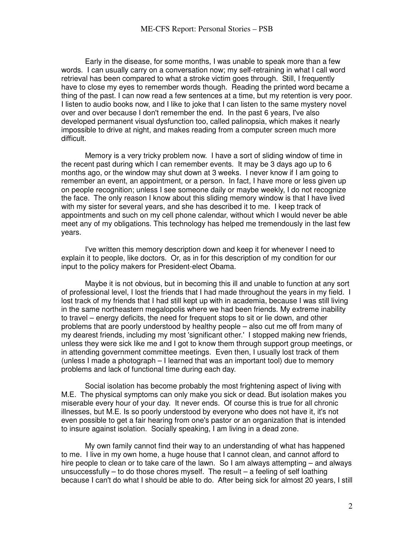Early in the disease, for some months, I was unable to speak more than a few words. I can usually carry on a conversation now; my self-retraining in what I call word retrieval has been compared to what a stroke victim goes through. Still, I frequently have to close my eyes to remember words though. Reading the printed word became a thing of the past. I can now read a few sentences at a time, but my retention is very poor. I listen to audio books now, and I like to joke that I can listen to the same mystery novel over and over because I don't remember the end. In the past 6 years, I've also developed permanent visual dysfunction too, called palinopsia, which makes it nearly impossible to drive at night, and makes reading from a computer screen much more difficult.

Memory is a very tricky problem now. I have a sort of sliding window of time in the recent past during which I can remember events. It may be 3 days ago up to 6 months ago, or the window may shut down at 3 weeks. I never know if I am going to remember an event, an appointment, or a person. In fact, I have more or less given up on people recognition; unless I see someone daily or maybe weekly, I do not recognize the face. The only reason I know about this sliding memory window is that I have lived with my sister for several years, and she has described it to me. I keep track of appointments and such on my cell phone calendar, without which I would never be able meet any of my obligations. This technology has helped me tremendously in the last few years.

I've written this memory description down and keep it for whenever I need to explain it to people, like doctors. Or, as in for this description of my condition for our input to the policy makers for President-elect Obama.

Maybe it is not obvious, but in becoming this ill and unable to function at any sort of professional level, I lost the friends that I had made throughout the years in my field. I lost track of my friends that I had still kept up with in academia, because I was still living in the same northeastern megalopolis where we had been friends. My extreme inability to travel – energy deficits, the need for frequent stops to sit or lie down, and other problems that are poorly understood by healthy people – also cut me off from many of my dearest friends, including my most 'significant other.' I stopped making new friends, unless they were sick like me and I got to know them through support group meetings, or in attending government committee meetings. Even then, I usually lost track of them (unless I made a photograph – I learned that was an important tool) due to memory problems and lack of functional time during each day.

Social isolation has become probably the most frightening aspect of living with M.E. The physical symptoms can only make you sick or dead. But isolation makes you miserable every hour of your day. It never ends. Of course this is true for all chronic illnesses, but M.E. Is so poorly understood by everyone who does not have it, it's not even possible to get a fair hearing from one's pastor or an organization that is intended to insure against isolation. Socially speaking, I am living in a dead zone.

My own family cannot find their way to an understanding of what has happened to me. I live in my own home, a huge house that I cannot clean, and cannot afford to hire people to clean or to take care of the lawn. So I am always attempting – and always unsuccessfully – to do those chores myself. The result – a feeling of self loathing because I can't do what I should be able to do. After being sick for almost 20 years, I still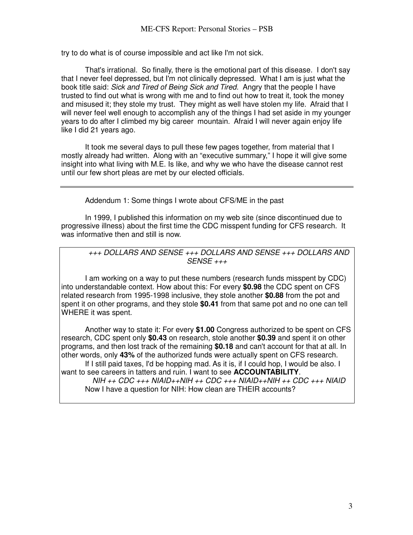try to do what is of course impossible and act like I'm not sick.

That's irrational. So finally, there is the emotional part of this disease. I don't say that I never feel depressed, but I'm not clinically depressed. What I am is just what the book title said: *Sick and Tired of Being Sick and Tired.* Angry that the people I have trusted to find out what is wrong with me and to find out how to treat it, took the money and misused it; they stole my trust. They might as well have stolen my life. Afraid that I will never feel well enough to accomplish any of the things I had set aside in my younger years to do after I climbed my big career mountain. Afraid I will never again enjoy life like I did 21 years ago.

It took me several days to pull these few pages together, from material that I mostly already had written. Along with an "executive summary," I hope it will give some insight into what living with M.E. Is like, and why we who have the disease cannot rest until our few short pleas are met by our elected officials.

Addendum 1: Some things I wrote about CFS/ME in the past

In 1999, I published this information on my web site (since discontinued due to progressive illness) about the first time the CDC misspent funding for CFS research. It was informative then and still is now.

*+++ DOLLARS AND SENSE +++ DOLLARS AND SENSE +++ DOLLARS AND SENSE +++* 

I am working on a way to put these numbers (research funds misspent by CDC) into understandable context. How about this: For every **\$0.98** the CDC spent on CFS related research from 1995-1998 inclusive, they stole another **\$0.88** from the pot and spent it on other programs, and they stole **\$0.41** from that same pot and no one can tell WHERE it was spent.

Another way to state it: For every **\$1.00** Congress authorized to be spent on CFS research, CDC spent only **\$0.43** on research, stole another **\$0.39** and spent it on other programs, and then lost track of the remaining **\$0.18** and can't account for that at all. In other words, only **43%** of the authorized funds were actually spent on CFS research.

If I still paid taxes, I'd be hopping mad. As it is, if I could hop, I would be also. I want to see careers in tatters and ruin. I want to see **ACCOUNTABILITY**.

*NIH ++ CDC +++ NIAID++NIH ++ CDC +++ NIAID++NIH ++ CDC +++ NIAID*  Now I have a question for NIH: How clean are THEIR accounts?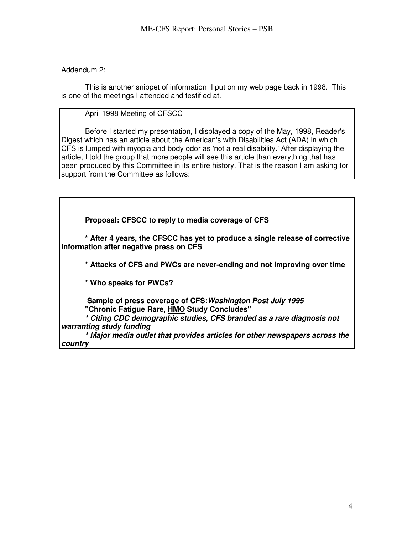Addendum 2:

This is another snippet of information I put on my web page back in 1998. This is one of the meetings I attended and testified at.

## April 1998 Meeting of CFSCC

Before I started my presentation, I displayed a copy of the May, 1998, Reader's Digest which has an article about the American's with Disabilities Act (ADA) in which CFS is lumped with myopia and body odor as 'not a real disability.' After displaying the article, I told the group that more people will see this article than everything that has been produced by this Committee in its entire history. That is the reason I am asking for support from the Committee as follows:

**Proposal: CFSCC to reply to media coverage of CFS** 

**\* After 4 years, the CFSCC has yet to produce a single release of corrective information after negative press on CFS** 

**\* Attacks of CFS and PWCs are never-ending and not improving over time** 

**\* Who speaks for PWCs?** 

 **Sample of press coverage of CFS:***Washington Post July 1995*  **"Chronic Fatigue Rare, HMO Study Concludes"** 

*\* Citing CDC demographic studies, CFS branded as a rare diagnosis not warranting study funding* 

*\* Major media outlet that provides articles for other newspapers across the country*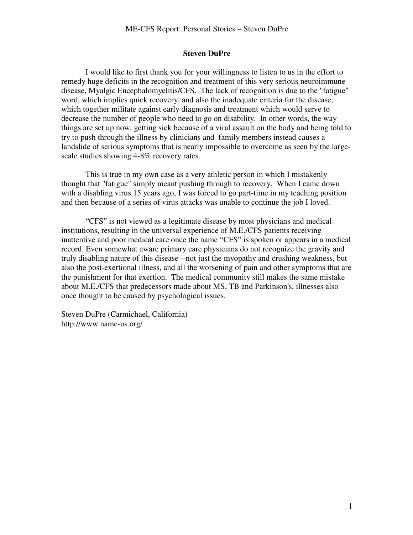#### **Steven DuPre**

I would like to first thank you for your willingness to listen to us in the effort to remedy huge deficits in the recognition and treatment of this very serious neuroimmune disease, Myalgic Encephalomyelitis/CFS. The lack of recognition is due to the "fatigue" word, which implies quick recovery, and also the inadequate criteria for the disease, which together militate against early diagnosis and treatment which would serve to decrease the number of people who need to go on disability. In other words, the way things are set up now, getting sick because of a viral assault on the body and being told to try to push through the illness by clinicians and family members instead causes a landslide of serious symptoms that is nearly impossible to overcome as seen by the largescale studies showing 4-8% recovery rates.

 This is true in my own case as a very athletic person in which I mistakenly thought that "fatigue" simply meant pushing through to recovery. When I came down with a disabling virus 15 years ago, I was forced to go part-time in my teaching position and then because of a series of virus attacks was unable to continue the job I loved.

"CFS" is not viewed as a legitimate disease by most physicians and medical institutions, resulting in the universal experience of M.E./CFS patients receiving inattentive and poor medical care once the name "CFS" is spoken or appears in a medical record. Even somewhat aware primary care physicians do not recognize the gravity and truly disabling nature of this disease --not just the myopathy and crushing weakness, but also the post-exertional illness, and all the worsening of pain and other symptoms that are the punishment for that exertion. The medical community still makes the same mistake about M.E./CFS that predecessors made about MS, TB and Parkinson's, illnesses also once thought to be caused by psychological issues.

Steven DuPre (Carmichael, California) http://www.name-us.org/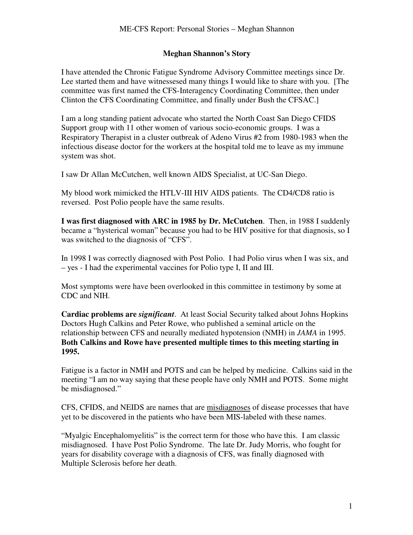### **Meghan Shannon's Story**

I have attended the Chronic Fatigue Syndrome Advisory Committee meetings since Dr. Lee started them and have witnessesed many things I would like to share with you. [The committee was first named the CFS-Interagency Coordinating Committee, then under Clinton the CFS Coordinating Committee, and finally under Bush the CFSAC.]

I am a long standing patient advocate who started the North Coast San Diego CFIDS Support group with 11 other women of various socio-economic groups. I was a Respiratory Therapist in a cluster outbreak of Adeno Virus #2 from 1980-1983 when the infectious disease doctor for the workers at the hospital told me to leave as my immune system was shot.

I saw Dr Allan McCutchen, well known AIDS Specialist, at UC-San Diego.

My blood work mimicked the HTLV-III HIV AIDS patients. The CD4/CD8 ratio is reversed. Post Polio people have the same results.

**I was first diagnosed with ARC in 1985 by Dr. McCutchen**. Then, in 1988 I suddenly became a "hysterical woman" because you had to be HIV positive for that diagnosis, so I was switched to the diagnosis of "CFS".

In 1998 I was correctly diagnosed with Post Polio. I had Polio virus when I was six, and – yes - I had the experimental vaccines for Polio type I, II and III.

Most symptoms were have been overlooked in this committee in testimony by some at CDC and NIH.

**Cardiac problems are** *significant*. At least Social Security talked about Johns Hopkins Doctors Hugh Calkins and Peter Rowe, who published a seminal article on the relationship between CFS and neurally mediated hypotension (NMH) in *JAMA* in 1995. **Both Calkins and Rowe have presented multiple times to this meeting starting in 1995.**

Fatigue is a factor in NMH and POTS and can be helped by medicine. Calkins said in the meeting "I am no way saying that these people have only NMH and POTS. Some might be misdiagnosed."

CFS, CFIDS, and NEIDS are names that are misdiagnoses of disease processes that have yet to be discovered in the patients who have been MIS-labeled with these names.

"Myalgic Encephalomyelitis" is the correct term for those who have this. I am classic misdiagnosed. I have Post Polio Syndrome. The late Dr. Judy Morris, who fought for years for disability coverage with a diagnosis of CFS, was finally diagnosed with Multiple Sclerosis before her death.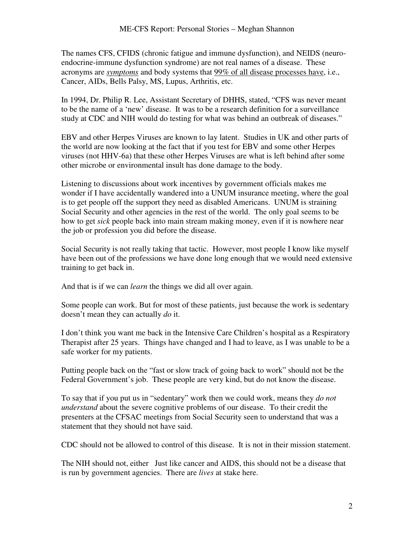The names CFS, CFIDS (chronic fatigue and immune dysfunction), and NEIDS (neuroendocrine-immune dysfunction syndrome) are not real names of a disease. These acronyms are *symptoms* and body systems that 99% of all disease processes have, i.e., Cancer, AIDs, Bells Palsy, MS, Lupus, Arthritis, etc.

In 1994, Dr. Philip R. Lee, Assistant Secretary of DHHS, stated, "CFS was never meant to be the name of a 'new' disease. It was to be a research definition for a surveillance study at CDC and NIH would do testing for what was behind an outbreak of diseases."

EBV and other Herpes Viruses are known to lay latent. Studies in UK and other parts of the world are now looking at the fact that if you test for EBV and some other Herpes viruses (not HHV-6a) that these other Herpes Viruses are what is left behind after some other microbe or environmental insult has done damage to the body.

Listening to discussions about work incentives by government officials makes me wonder if I have accidentally wandered into a UNUM insurance meeting, where the goal is to get people off the support they need as disabled Americans. UNUM is straining Social Security and other agencies in the rest of the world. The only goal seems to be how to get *sick* people back into main stream making money, even if it is nowhere near the job or profession you did before the disease.

Social Security is not really taking that tactic. However, most people I know like myself have been out of the professions we have done long enough that we would need extensive training to get back in.

And that is if we can *learn* the things we did all over again.

Some people can work. But for most of these patients, just because the work is sedentary doesn't mean they can actually *do* it.

I don't think you want me back in the Intensive Care Children's hospital as a Respiratory Therapist after 25 years. Things have changed and I had to leave, as I was unable to be a safe worker for my patients.

Putting people back on the "fast or slow track of going back to work" should not be the Federal Government's job. These people are very kind, but do not know the disease.

To say that if you put us in "sedentary" work then we could work, means they *do not understand* about the severe cognitive problems of our disease. To their credit the presenters at the CFSAC meetings from Social Security seen to understand that was a statement that they should not have said.

CDC should not be allowed to control of this disease. It is not in their mission statement.

The NIH should not, either Just like cancer and AIDS, this should not be a disease that is run by government agencies. There are *lives* at stake here.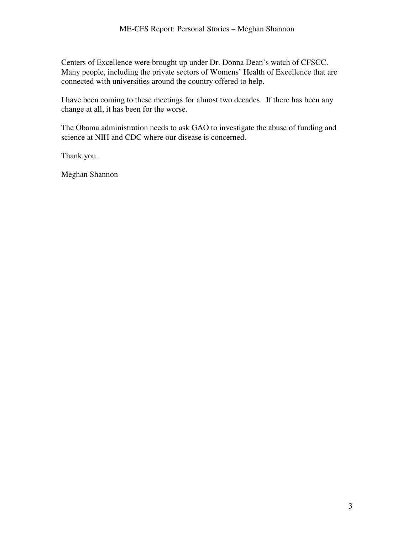Centers of Excellence were brought up under Dr. Donna Dean's watch of CFSCC. Many people, including the private sectors of Womens' Health of Excellence that are connected with universities around the country offered to help.

I have been coming to these meetings for almost two decades. If there has been any change at all, it has been for the worse.

The Obama administration needs to ask GAO to investigate the abuse of funding and science at NIH and CDC where our disease is concerned.

Thank you.

Meghan Shannon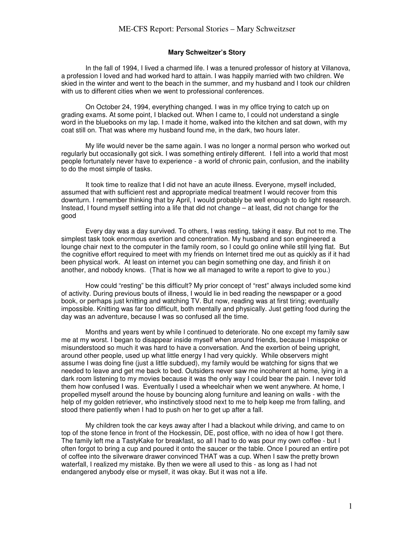#### **Mary Schweitzer's Story**

In the fall of 1994, I lived a charmed life. I was a tenured professor of history at Villanova, a profession I loved and had worked hard to attain. I was happily married with two children. We skied in the winter and went to the beach in the summer, and my husband and I took our children with us to different cities when we went to professional conferences.

On October 24, 1994, everything changed. I was in my office trying to catch up on grading exams. At some point, I blacked out. When I came to, I could not understand a single word in the bluebooks on my lap. I made it home, walked into the kitchen and sat down, with my coat still on. That was where my husband found me, in the dark, two hours later.

My life would never be the same again. I was no longer a normal person who worked out regularly but occasionally got sick. I was something entirely different. I fell into a world that most people fortunately never have to experience - a world of chronic pain, confusion, and the inability to do the most simple of tasks.

It took time to realize that I did not have an acute illness. Everyone, myself included, assumed that with sufficient rest and appropriate medical treatment I would recover from this downturn. I remember thinking that by April, I would probably be well enough to do light research. Instead, I found myself settling into a life that did not change – at least, did not change for the good

Every day was a day survived. To others, I was resting, taking it easy. But not to me. The simplest task took enormous exertion and concentration. My husband and son engineered a lounge chair next to the computer in the family room, so I could go online while still lying flat. But the cognitive effort required to meet with my friends on Internet tired me out as quickly as if it had been physical work. At least on internet you can begin something one day, and finish it on another, and nobody knows. (That is how we all managed to write a report to give to you.)

How could "resting" be this difficult? My prior concept of "rest" always included some kind of activity. During previous bouts of illness, I would lie in bed reading the newspaper or a good book, or perhaps just knitting and watching TV. But now, reading was at first tiring; eventually impossible. Knitting was far too difficult, both mentally and physically. Just getting food during the day was an adventure, because I was so confused all the time.

Months and years went by while I continued to deteriorate. No one except my family saw me at my worst. I began to disappear inside myself when around friends, because I misspoke or misunderstood so much it was hard to have a conversation. And the exertion of being upright, around other people, used up what little energy I had very quickly. While observers might assume I was doing fine (just a little subdued), my family would be watching for signs that we needed to leave and get me back to bed. Outsiders never saw me incoherent at home, lying in a dark room listening to my movies because it was the only way I could bear the pain. I never told them how confused I was. Eventually I used a wheelchair when we went anywhere. At home, I propelled myself around the house by bouncing along furniture and leaning on walls - with the help of my golden retriever, who instinctively stood next to me to help keep me from falling, and stood there patiently when I had to push on her to get up after a fall.

My children took the car keys away after I had a blackout while driving, and came to on top of the stone fence in front of the Hockessin, DE, post office, with no idea of how I got there. The family left me a TastyKake for breakfast, so all I had to do was pour my own coffee - but I often forgot to bring a cup and poured it onto the saucer or the table. Once I poured an entire pot of coffee into the silverware drawer convinced THAT was a cup. When I saw the pretty brown waterfall, I realized my mistake. By then we were all used to this - as long as I had not endangered anybody else or myself, it was okay. But it was not a life.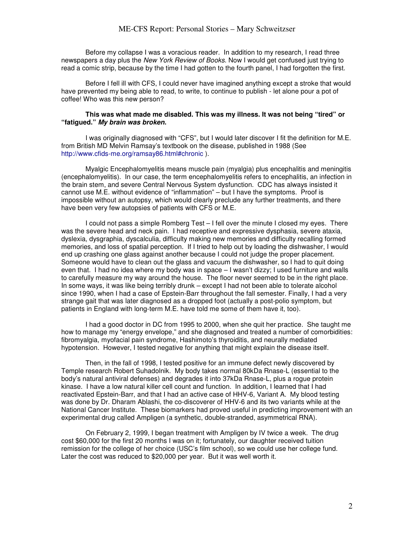Before my collapse I was a voracious reader. In addition to my research, I read three newspapers a day plus the *New York Review of Books*. Now I would get confused just trying to read a comic strip, because by the time I had gotten to the fourth panel, I had forgotten the first.

Before I fell ill with CFS, I could never have imagined anything except a stroke that would have prevented my being able to read, to write, to continue to publish - let alone pour a pot of coffee! Who was this new person?

#### **This was what made me disabled. This was my illness. It was not being "tired" or "fatigued."** *My brain was broken***.**

I was originally diagnosed with "CFS", but I would later discover I fit the definition for M.E. from British MD Melvin Ramsay's textbook on the disease, published in 1988 (See http://www.cfids-me.org/ramsay86.html#chronic ).

Myalgic Encephalomyelitis means muscle pain (myalgia) plus encephalitis and meningitis (encephalomyelitis). In our case, the term encephalomyelitis refers to encephalitis, an infection in the brain stem, and severe Central Nervous System dysfunction. CDC has always insisted it cannot use M.E. without evidence of "inflammation" – but I have the symptoms. Proof is impossible without an autopsy, which would clearly preclude any further treatments, and there have been very few autopsies of patients with CFS or M.E.

I could not pass a simple Romberg Test – I fell over the minute I closed my eyes. There was the severe head and neck pain. I had receptive and expressive dysphasia, severe ataxia, dyslexia, dysgraphia, dyscalculia, difficulty making new memories and difficulty recalling formed memories, and loss of spatial perception. If I tried to help out by loading the dishwasher, I would end up crashing one glass against another because I could not judge the proper placement. Someone would have to clean out the glass and vacuum the dishwasher, so I had to quit doing even that. I had no idea where my body was in space – I wasn't dizzy; I used furniture and walls to carefully measure my way around the house. The floor never seemed to be in the right place. In some ways, it was like being terribly drunk – except I had not been able to tolerate alcohol since 1990, when I had a case of Epstein-Barr throughout the fall semester. Finally, I had a very strange gait that was later diagnosed as a dropped foot (actually a post-polio symptom, but patients in England with long-term M.E. have told me some of them have it, too).

I had a good doctor in DC from 1995 to 2000, when she quit her practice. She taught me how to manage my "energy envelope," and she diagnosed and treated a number of comorbidities: fibromyalgia, myofacial pain syndrome, Hashimoto's thyroiditis, and neurally mediated hypotension. However, I tested negative for anything that might explain the disease itself.

Then, in the fall of 1998, I tested positive for an immune defect newly discovered by Temple research Robert Suhadolnik. My body takes normal 80kDa Rnase-L (essential to the body's natural antiviral defenses) and degrades it into 37kDa Rnase-L, plus a rogue protein kinase. I have a low natural killer cell count and function. In addition, I learned that I had reactivated Epstein-Barr, and that I had an active case of HHV-6, Variant A. My blood testing was done by Dr. Dharam Ablashi, the co-discoverer of HHV-6 and its two variants while at the National Cancer Institute. These biomarkers had proved useful in predicting improvement with an experimental drug called Ampligen (a synthetic, double-stranded, asymmetrical RNA).

On February 2, 1999, I began treatment with Ampligen by IV twice a week. The drug cost \$60,000 for the first 20 months I was on it; fortunately, our daughter received tuition remission for the college of her choice (USC's film school), so we could use her college fund. Later the cost was reduced to \$20,000 per year. But it was well worth it.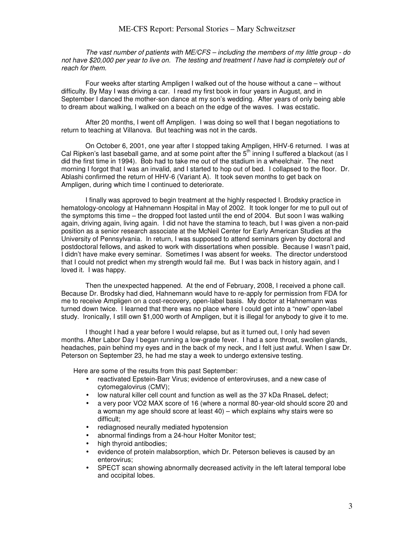*The vast number of patients with ME/CFS – including the members of my little group - do not have \$20,000 per year to live on. The testing and treatment I have had is completely out of reach for them.* 

Four weeks after starting Ampligen I walked out of the house without a cane – without difficulty. By May I was driving a car. I read my first book in four years in August, and in September I danced the mother-son dance at my son's wedding. After years of only being able to dream about walking, I walked on a beach on the edge of the waves. I was ecstatic.

After 20 months, I went off Ampligen. I was doing so well that I began negotiations to return to teaching at Villanova. But teaching was not in the cards.

On October 6, 2001, one year after I stopped taking Ampligen, HHV-6 returned. I was at Cal Ripken's last baseball game, and at some point after the 5<sup>th</sup> inning I suffered a blackout (as I did the first time in 1994). Bob had to take me out of the stadium in a wheelchair. The next morning I forgot that I was an invalid, and I started to hop out of bed. I collapsed to the floor. Dr. Ablashi confirmed the return of HHV-6 (Variant A). It took seven months to get back on Ampligen, during which time I continued to deteriorate.

I finally was approved to begin treatment at the highly respected I. Brodsky practice in hematology-oncology at Hahnemann Hospital in May of 2002. It took longer for me to pull out of the symptoms this time – the dropped foot lasted until the end of 2004. But soon I was walking again, driving again, living again. I did not have the stamina to teach, but I was given a non-paid position as a senior research associate at the McNeil Center for Early American Studies at the University of Pennsylvania. In return, I was supposed to attend seminars given by doctoral and postdoctoral fellows, and asked to work with dissertations when possible. Because I wasn't paid, I didn't have make every seminar. Sometimes I was absent for weeks. The director understood that I could not predict when my strength would fail me. But I was back in history again, and I loved it. I was happy.

Then the unexpected happened. At the end of February, 2008, I received a phone call. Because Dr. Brodsky had died, Hahnemann would have to re-apply for permission from FDA for me to receive Ampligen on a cost-recovery, open-label basis. My doctor at Hahnemann was turned down twice. I learned that there was no place where I could get into a "new" open-label study. Ironically, I still own \$1,000 worth of Ampligen, but it is illegal for anybody to give it to me.

I thought I had a year before I would relapse, but as it turned out, I only had seven months. After Labor Day I began running a low-grade fever. I had a sore throat, swollen glands, headaches, pain behind my eyes and in the back of my neck, and I felt just awful. When I saw Dr. Peterson on September 23, he had me stay a week to undergo extensive testing.

Here are some of the results from this past September:

- reactivated Epstein-Barr Virus; evidence of enteroviruses, and a new case of cytomegalovirus (CMV);
- low natural killer cell count and function as well as the 37 kDa RnaseL defect;
- a very poor VO2 MAX score of 16 (where a normal 80-year-old should score 20 and a woman my age should score at least 40) – which explains why stairs were so difficult;
- rediagnosed neurally mediated hypotension
- abnormal findings from a 24-hour Holter Monitor test;
- high thyroid antibodies:
- evidence of protein malabsorption, which Dr. Peterson believes is caused by an enterovirus;
- SPECT scan showing abnormally decreased activity in the left lateral temporal lobe and occipital lobes.